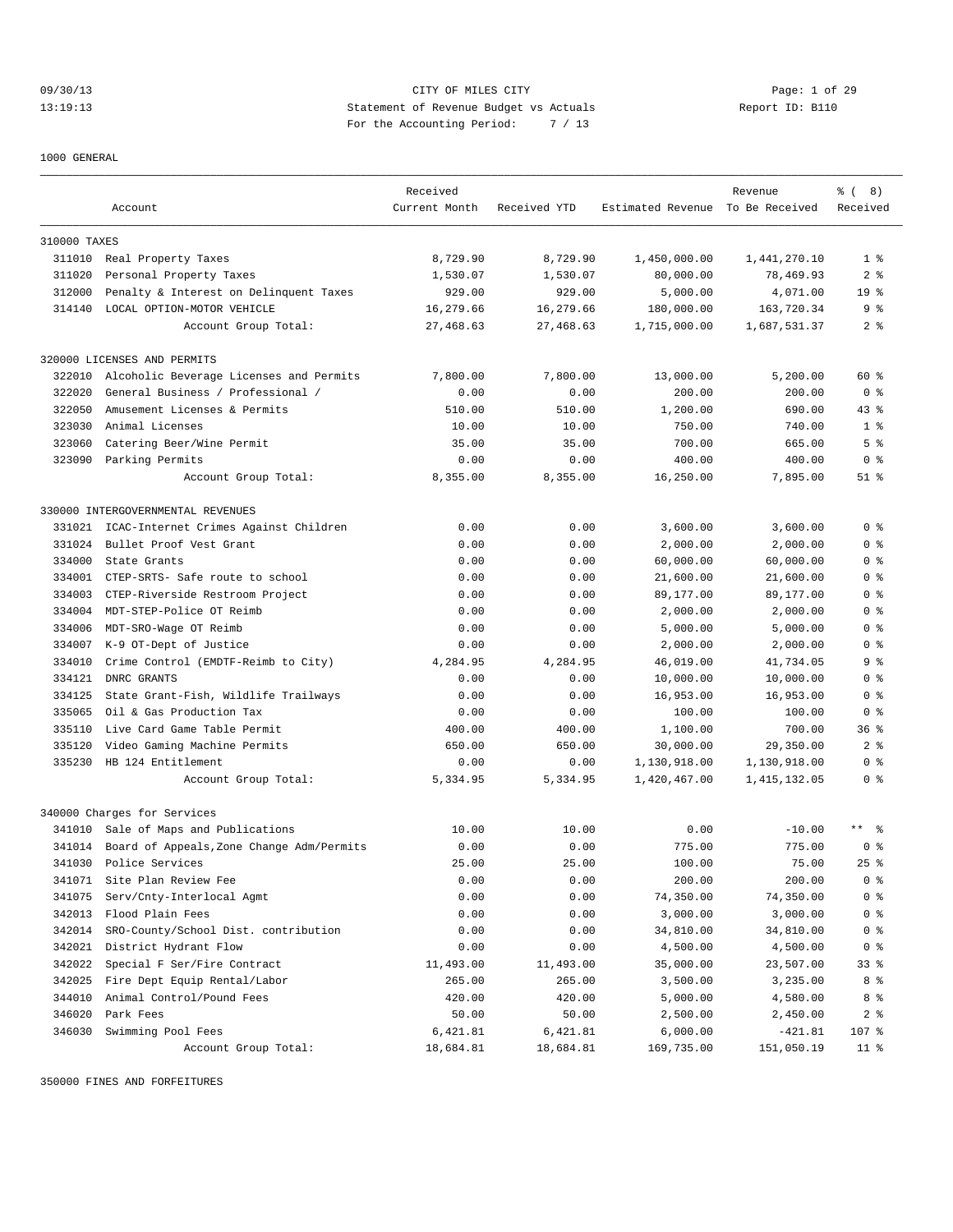09/30/13 Page: 1 of 29 13:19:13 Statement of Revenue Budget vs Actuals Report ID: B110 For the Accounting Period: 7 / 13

1000 GENERAL

|              |                                           | Received      |              |                                  | Revenue        | <sub>ර</sub> ි (8) |
|--------------|-------------------------------------------|---------------|--------------|----------------------------------|----------------|--------------------|
|              | Account                                   | Current Month | Received YTD | Estimated Revenue To Be Received |                | Received           |
| 310000 TAXES |                                           |               |              |                                  |                |                    |
| 311010       | Real Property Taxes                       | 8,729.90      | 8,729.90     | 1,450,000.00                     | 1,441,270.10   | 1 <sup>8</sup>     |
| 311020       | Personal Property Taxes                   | 1,530.07      | 1,530.07     | 80,000.00                        | 78,469.93      | 2 <sub>8</sub>     |
| 312000       | Penalty & Interest on Delinquent Taxes    | 929.00        | 929.00       | 5,000.00                         | 4,071.00       | 19 <sup>°</sup>    |
| 314140       | LOCAL OPTION-MOTOR VEHICLE                | 16,279.66     | 16,279.66    | 180,000.00                       | 163,720.34     | 9 %                |
|              | Account Group Total:                      | 27,468.63     | 27,468.63    | 1,715,000.00                     | 1,687,531.37   | 28                 |
|              | 320000 LICENSES AND PERMITS               |               |              |                                  |                |                    |
| 322010       | Alcoholic Beverage Licenses and Permits   | 7,800.00      | 7,800.00     | 13,000.00                        | 5,200.00       | 60 %               |
| 322020       | General Business / Professional /         | 0.00          | 0.00         | 200.00                           | 200.00         | 0 <sup>8</sup>     |
| 322050       | Amusement Licenses & Permits              | 510.00        | 510.00       | 1,200.00                         | 690.00         | $43*$              |
| 323030       | Animal Licenses                           | 10.00         | 10.00        | 750.00                           | 740.00         | 1 <sup>8</sup>     |
| 323060       | Catering Beer/Wine Permit                 | 35.00         | 35.00        | 700.00                           | 665.00         | 5 <sup>°</sup>     |
|              | 323090 Parking Permits                    | 0.00          | 0.00         | 400.00                           | 400.00         | 0 <sup>8</sup>     |
|              | Account Group Total:                      | 8,355.00      | 8,355.00     | 16,250.00                        | 7,895.00       | $51$ %             |
|              | 330000 INTERGOVERNMENTAL REVENUES         |               |              |                                  |                |                    |
| 331021       | ICAC-Internet Crimes Against Children     | 0.00          | 0.00         | 3,600.00                         | 3,600.00       | 0 <sup>8</sup>     |
| 331024       | Bullet Proof Vest Grant                   | 0.00          | 0.00         | 2,000.00                         | 2,000.00       | 0 <sup>8</sup>     |
| 334000       | State Grants                              | 0.00          | 0.00         | 60,000.00                        | 60,000.00      | 0 <sup>8</sup>     |
| 334001       | CTEP-SRTS- Safe route to school           | 0.00          | 0.00         | 21,600.00                        | 21,600.00      | 0 %                |
| 334003       | CTEP-Riverside Restroom Project           | 0.00          | 0.00         | 89,177.00                        | 89,177.00      | 0 <sup>8</sup>     |
| 334004       | MDT-STEP-Police OT Reimb                  | 0.00          | 0.00         | 2,000.00                         | 2,000.00       | 0 <sup>8</sup>     |
| 334006       | MDT-SRO-Wage OT Reimb                     | 0.00          | 0.00         | 5,000.00                         | 5,000.00       | 0 <sup>8</sup>     |
| 334007       | K-9 OT-Dept of Justice                    | 0.00          | 0.00         | 2,000.00                         | 2,000.00       | 0 <sup>8</sup>     |
| 334010       | Crime Control (EMDTF-Reimb to City)       | 4,284.95      | 4,284.95     | 46,019.00                        | 41,734.05      | 9 <sup>8</sup>     |
| 334121       | DNRC GRANTS                               | 0.00          | 0.00         | 10,000.00                        | 10,000.00      | 0 <sup>8</sup>     |
| 334125       | State Grant-Fish, Wildlife Trailways      | 0.00          | 0.00         | 16,953.00                        | 16,953.00      | 0 <sup>8</sup>     |
| 335065       | Oil & Gas Production Tax                  | 0.00          | 0.00         | 100.00                           | 100.00         | 0 <sup>8</sup>     |
| 335110       | Live Card Game Table Permit               | 400.00        | 400.00       | 1,100.00                         | 700.00         | 36%                |
| 335120       | Video Gaming Machine Permits              | 650.00        | 650.00       | 30,000.00                        | 29,350.00      | 2 <sup>8</sup>     |
| 335230       | HB 124 Entitlement                        | 0.00          | 0.00         | 1,130,918.00                     | 1,130,918.00   | 0 <sup>8</sup>     |
|              | Account Group Total:                      | 5,334.95      | 5,334.95     | 1,420,467.00                     | 1, 415, 132.05 | 0 <sup>8</sup>     |
|              | 340000 Charges for Services               |               |              |                                  |                |                    |
|              | 341010 Sale of Maps and Publications      | 10.00         | 10.00        | 0.00                             | $-10.00$       | $***$ $%$          |
| 341014       | Board of Appeals, Zone Change Adm/Permits | 0.00          | 0.00         | 775.00                           | 775.00         | 0 <sup>8</sup>     |
| 341030       | Police Services                           | 25.00         | 25.00        | 100.00                           | 75.00          | $25$ $%$           |
| 341071       | Site Plan Review Fee                      | 0.00          | 0.00         | 200.00                           | 200.00         | 0 <sup>8</sup>     |
| 341075       | Serv/Cnty-Interlocal Agmt                 | 0.00          | 0.00         | 74,350.00                        | 74,350.00      | 0 <sup>8</sup>     |
| 342013       | Flood Plain Fees                          | 0.00          | 0.00         | 3,000.00                         | 3,000.00       | 0 <sup>8</sup>     |
| 342014       | SRO-County/School Dist. contribution      | 0.00          | 0.00         | 34,810.00                        | 34,810.00      | 0 <sup>8</sup>     |
| 342021       | District Hydrant Flow                     | 0.00          | 0.00         | 4,500.00                         | 4,500.00       | 0 <sup>8</sup>     |
| 342022       | Special F Ser/Fire Contract               | 11,493.00     | 11,493.00    | 35,000.00                        | 23,507.00      | $33$ $%$           |
| 342025       | Fire Dept Equip Rental/Labor              | 265.00        | 265.00       | 3,500.00                         | 3,235.00       | 8%                 |
| 344010       | Animal Control/Pound Fees                 | 420.00        | 420.00       | 5,000.00                         | 4,580.00       | 8 %                |
| 346020       | Park Fees                                 | 50.00         | 50.00        | 2,500.00                         | 2,450.00       | 2 <sub>8</sub>     |
| 346030       | Swimming Pool Fees                        | 6,421.81      | 6,421.81     | 6,000.00                         | $-421.81$      | 107 %              |
|              | Account Group Total:                      | 18,684.81     | 18,684.81    | 169,735.00                       | 151,050.19     | 11 %               |

350000 FINES AND FORFEITURES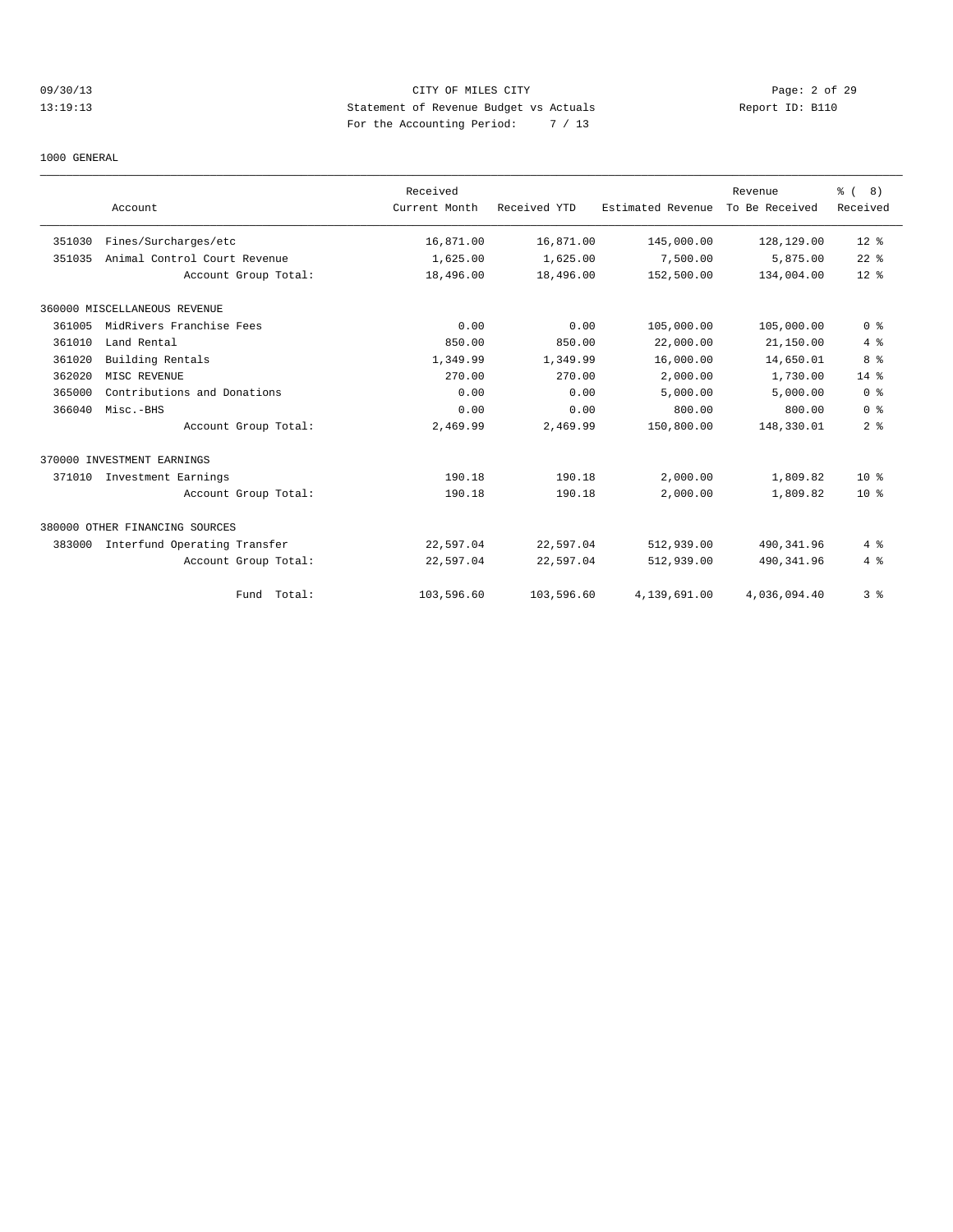# 09/30/13 CITY OF MILES CITY Page: 2 of 29 13:19:13 Statement of Revenue Budget vs Actuals Report ID: B110 For the Accounting Period: 7 / 13

#### 1000 GENERAL

|        |                                | Received      |              |                   | Revenue        | $\frac{6}{6}$ ( 8) |
|--------|--------------------------------|---------------|--------------|-------------------|----------------|--------------------|
|        | Account                        | Current Month | Received YTD | Estimated Revenue | To Be Received | Received           |
| 351030 | Fines/Surcharges/etc           | 16,871.00     | 16,871.00    | 145,000.00        | 128,129.00     | $12*$              |
| 351035 | Animal Control Court Revenue   | 1,625.00      | 1,625.00     | 7,500.00          | 5,875.00       | $22$ $%$           |
|        | Account Group Total:           | 18,496.00     | 18,496.00    | 152,500.00        | 134,004.00     | $12*$              |
|        | 360000 MISCELLANEOUS REVENUE   |               |              |                   |                |                    |
| 361005 | MidRivers Franchise Fees       | 0.00          | 0.00         | 105,000.00        | 105,000.00     | 0 <sup>8</sup>     |
| 361010 | Land Rental                    | 850.00        | 850.00       | 22,000.00         | 21,150.00      | 4%                 |
| 361020 | Building Rentals               | 1,349.99      | 1,349.99     | 16,000.00         | 14,650.01      | 8%                 |
| 362020 | MISC REVENUE                   | 270.00        | 270.00       | 2,000.00          | 1,730.00       | 14 %               |
| 365000 | Contributions and Donations    | 0.00          | 0.00         | 5.000.00          | 5,000.00       | 0 <sup>8</sup>     |
| 366040 | Misc.-BHS                      | 0.00          | 0.00         | 800.00            | 800.00         | 0 <sup>8</sup>     |
|        | Account Group Total:           | 2,469.99      | 2,469.99     | 150,800.00        | 148,330.01     | 2 <sub>8</sub>     |
|        | 370000 INVESTMENT EARNINGS     |               |              |                   |                |                    |
|        | 371010 Investment Earnings     | 190.18        | 190.18       | 2,000.00          | 1,809.82       | 10 <sup>8</sup>    |
|        | Account Group Total:           | 190.18        | 190.18       | 2,000.00          | 1,809.82       | 10 <sup>8</sup>    |
|        | 380000 OTHER FINANCING SOURCES |               |              |                   |                |                    |
| 383000 | Interfund Operating Transfer   | 22,597.04     | 22,597.04    | 512,939.00        | 490, 341.96    | 4%                 |
|        | Account Group Total:           | 22,597.04     | 22,597.04    | 512,939.00        | 490, 341.96    | 4%                 |
|        | Fund Total:                    | 103,596.60    | 103,596.60   | 4,139,691.00      | 4,036,094.40   | 3 <sup>8</sup>     |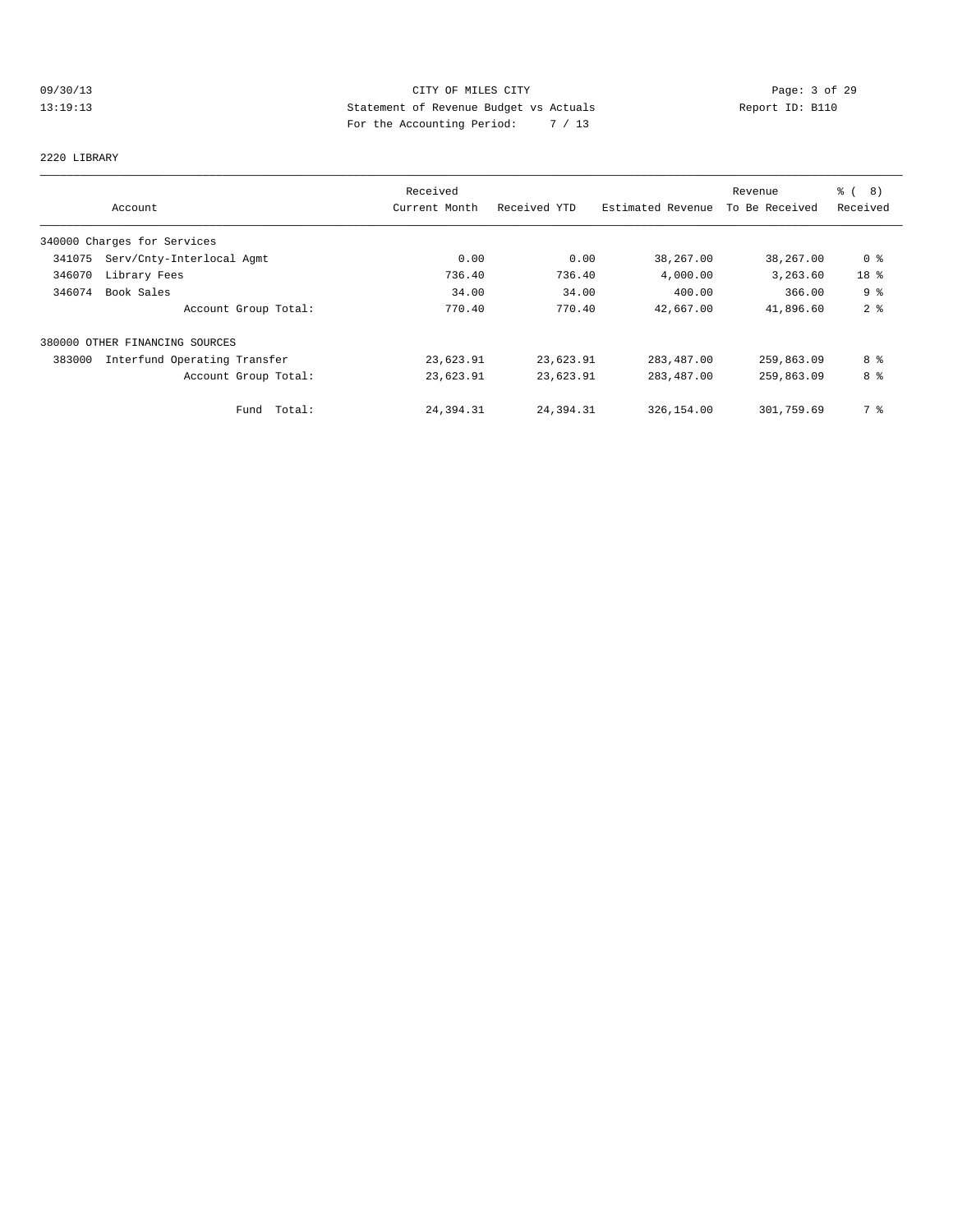# 09/30/13 CITY OF MILES CITY CHES CONTRIBUTE PROPERTY Page: 3 of 29<br>13:19:13 Statement of Revenue Budget vs Actuals Report ID: B110<br>For the Accumulate Period: The College Contribute Property of the Contract of Report ID: B1 13:19:13 Statement of Revenue Budget vs Actuals Report ID: B110 For the Accounting Period: 7 / 13

#### 2220 LIBRARY

|        |                                | Received      |              |                   | Revenue        | % (<br>8)      |
|--------|--------------------------------|---------------|--------------|-------------------|----------------|----------------|
|        | Account                        | Current Month | Received YTD | Estimated Revenue | To Be Received | Received       |
|        | 340000 Charges for Services    |               |              |                   |                |                |
| 341075 | Serv/Cnty-Interlocal Agmt      | 0.00          | 0.00         | 38,267.00         | 38,267.00      | 0 <sup>8</sup> |
| 346070 | Library Fees                   | 736.40        | 736.40       | 4,000.00          | 3,263.60       | 18 %           |
| 346074 | Book Sales                     | 34.00         | 34.00        | 400.00            | 366.00         | 9 <sup>°</sup> |
|        | Account Group Total:           | 770.40        | 770.40       | 42,667.00         | 41,896.60      | 2 <sup>°</sup> |
|        | 380000 OTHER FINANCING SOURCES |               |              |                   |                |                |
| 383000 | Interfund Operating Transfer   | 23,623.91     | 23,623.91    | 283,487.00        | 259,863.09     | 8 %            |
|        | Account Group Total:           | 23,623.91     | 23,623.91    | 283, 487.00       | 259,863.09     | 8 %            |
|        | Total:<br>Fund                 | 24,394.31     | 24,394.31    | 326,154.00        | 301,759.69     | 7 %            |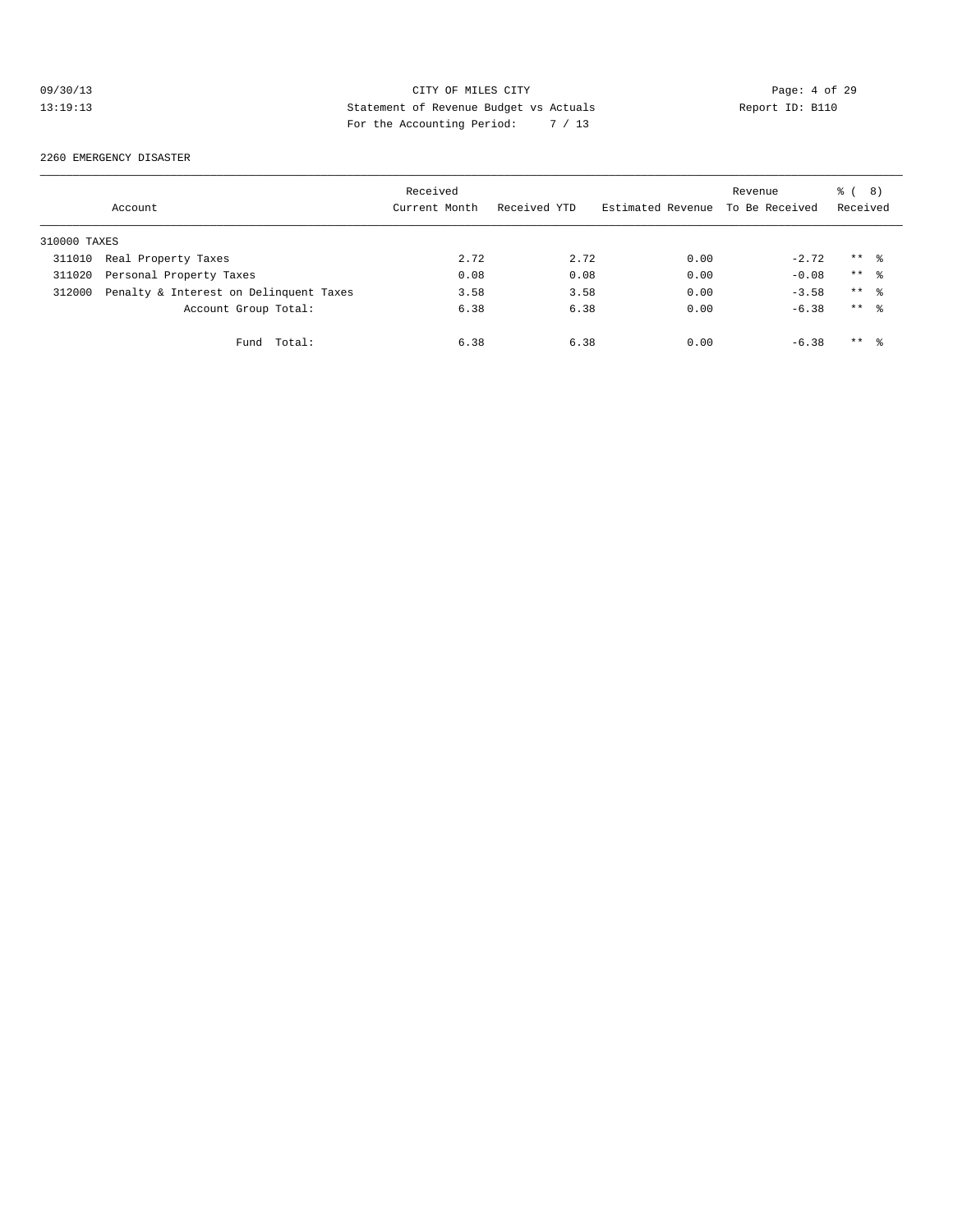# 09/30/13 CITY OF MILES CITY Page: 4 of 29 13:19:13 Statement of Revenue Budget vs Actuals Report ID: B110<br>Report ID: B110 For the Accounting Period: 7 / 13

#### 2260 EMERGENCY DISASTER

|              | Account                                | Received<br>Current Month | Received YTD | Estimated Revenue To Be Received | Revenue | $\frac{6}{6}$ ( 8)<br>Received |  |
|--------------|----------------------------------------|---------------------------|--------------|----------------------------------|---------|--------------------------------|--|
| 310000 TAXES |                                        |                           |              |                                  |         |                                |  |
| 311010       | Real Property Taxes                    | 2.72                      | 2.72         | 0.00                             | $-2.72$ | $***$ %                        |  |
| 311020       | Personal Property Taxes                | 0.08                      | 0.08         | 0.00                             | $-0.08$ | $***$ $\frac{6}{6}$            |  |
| 312000       | Penalty & Interest on Delinquent Taxes | 3.58                      | 3.58         | 0.00                             | $-3.58$ | $***$ 8                        |  |
|              | Account Group Total:                   | 6.38                      | 6.38         | 0.00                             | $-6.38$ | $***$ %                        |  |
|              | Fund Total:                            | 6.38                      | 6.38         | 0.00                             | $-6.38$ | $***$ 8                        |  |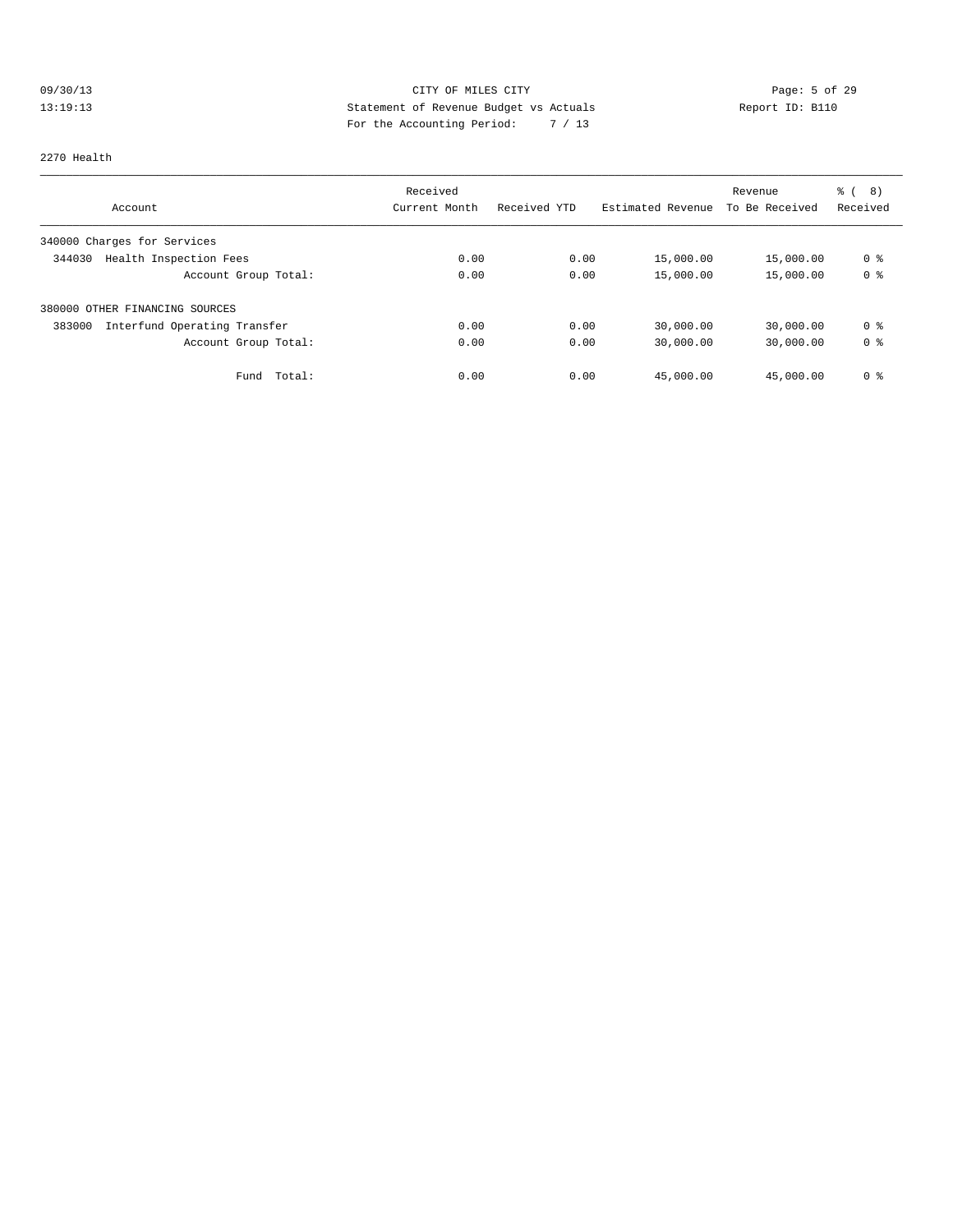# 09/30/13 Page: 5 of 29 13:19:13 Statement of Revenue Budget vs Actuals Report ID: B110 For the Accounting Period: 7 / 13

#### 2270 Health

|                                        | Received      |              |                   | Revenue        | % ( 8 )        |
|----------------------------------------|---------------|--------------|-------------------|----------------|----------------|
| Account                                | Current Month | Received YTD | Estimated Revenue | To Be Received | Received       |
| 340000 Charges for Services            |               |              |                   |                |                |
| Health Inspection Fees<br>344030       | 0.00          | 0.00         | 15,000.00         | 15,000.00      | 0 <sup>8</sup> |
| Account Group Total:                   | 0.00          | 0.00         | 15,000.00         | 15,000.00      | 0 <sup>8</sup> |
| 380000 OTHER FINANCING SOURCES         |               |              |                   |                |                |
| 383000<br>Interfund Operating Transfer | 0.00          | 0.00         | 30,000.00         | 30,000.00      | 0 %            |
| Account Group Total:                   | 0.00          | 0.00         | 30,000.00         | 30,000.00      | 0 <sup>8</sup> |
| Total:<br>Fund                         | 0.00          | 0.00         | 45,000.00         | 45,000.00      | 0 <sup>8</sup> |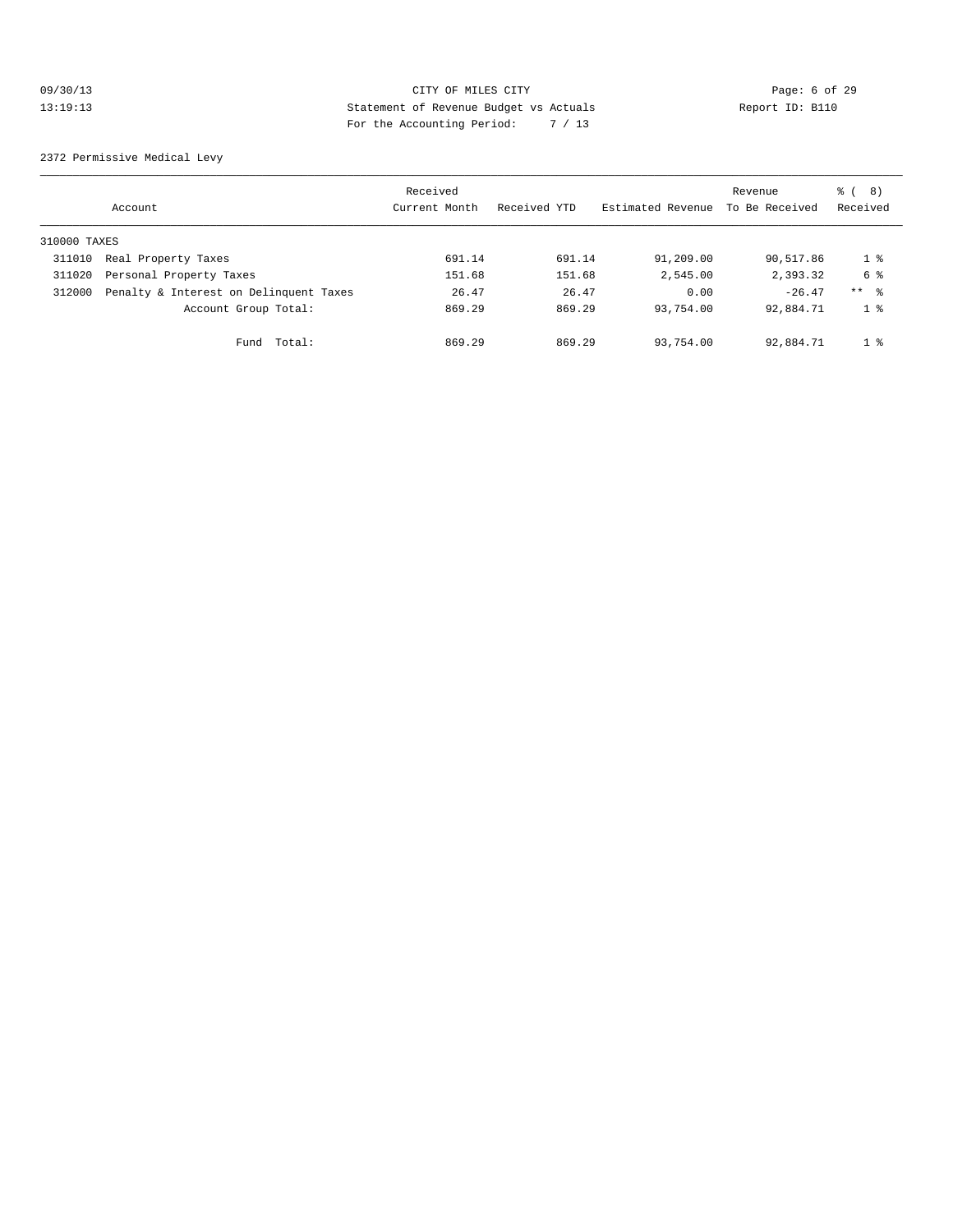# 09/30/13 CITY OF MILES CITY Page: 6 of 29 13:19:13 Statement of Revenue Budget vs Actuals Report ID: B110 For the Accounting Period: 7 / 13

2372 Permissive Medical Levy

|              | Account                                | Received<br>Current Month | Received YTD | Estimated Revenue | Revenue<br>To Be Received | (8)<br>ී (<br>Received |
|--------------|----------------------------------------|---------------------------|--------------|-------------------|---------------------------|------------------------|
| 310000 TAXES |                                        |                           |              |                   |                           |                        |
| 311010       | Real Property Taxes                    | 691.14                    | 691.14       | 91,209.00         | 90,517.86                 | 1 %                    |
| 311020       | Personal Property Taxes                | 151.68                    | 151.68       | 2,545.00          | 2,393.32                  | 6 %                    |
| 312000       | Penalty & Interest on Delinquent Taxes | 26.47                     | 26.47        | 0.00              | $-26.47$                  | $***$ 8                |
|              | Account Group Total:                   | 869.29                    | 869.29       | 93,754.00         | 92,884.71                 | 1 <sup>8</sup>         |
|              | Total:<br>Fund                         | 869.29                    | 869.29       | 93,754.00         | 92,884.71                 | 1 <sup>8</sup>         |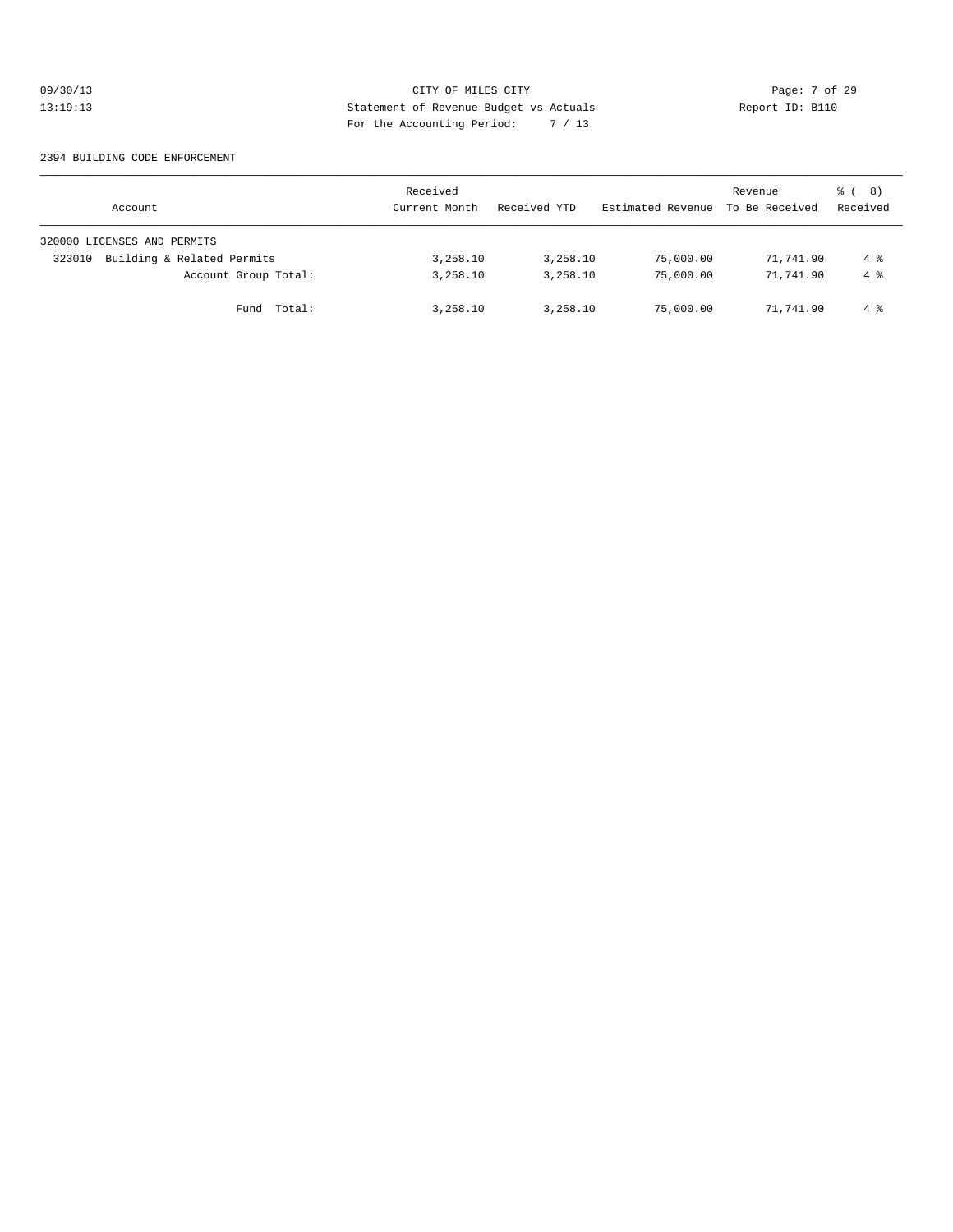# 09/30/13 Page: 7 of 29 13:19:13 Statement of Revenue Budget vs Actuals Report ID: B110 For the Accounting Period: 7 / 13

#### 2394 BUILDING CODE ENFORCEMENT

| Account                              | Received<br>Current Month | Received YTD | Estimated Revenue | Revenue<br>To Be Received | <sub>රී</sub> ( 8 )<br>Received |
|--------------------------------------|---------------------------|--------------|-------------------|---------------------------|---------------------------------|
| 320000 LICENSES AND PERMITS          |                           |              |                   |                           |                                 |
| Building & Related Permits<br>323010 | 3,258.10                  | 3,258.10     | 75,000.00         | 71,741.90                 | 4 %                             |
| Account Group Total:                 | 3,258.10                  | 3,258.10     | 75,000.00         | 71,741.90                 | $4\degree$                      |
| Fund Total:                          | 3,258.10                  | 3,258.10     | 75,000.00         | 71,741.90                 | $4\degree$                      |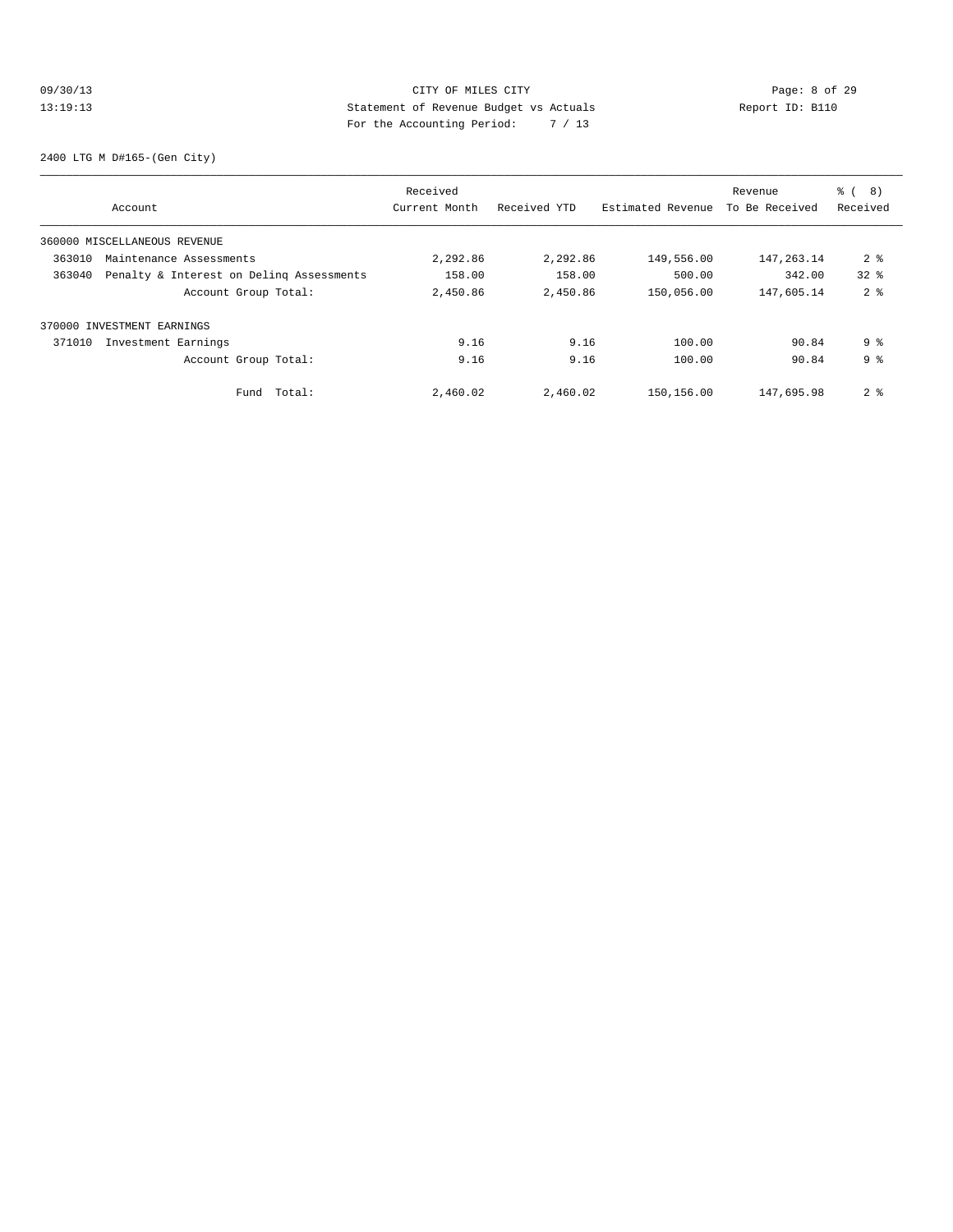# 09/30/13 CITY OF MILES CITY Page: 8 of 29 13:19:13 Statement of Revenue Budget vs Actuals Report ID: B110 For the Accounting Period: 7 / 13

2400 LTG M D#165-(Gen City)

|        |                                          | Received      |              |                   | Revenue        | ී (<br>8)      |
|--------|------------------------------------------|---------------|--------------|-------------------|----------------|----------------|
|        | Account                                  | Current Month | Received YTD | Estimated Revenue | To Be Received | Received       |
|        | 360000 MISCELLANEOUS REVENUE             |               |              |                   |                |                |
| 363010 | Maintenance Assessments                  | 2,292.86      | 2,292.86     | 149,556.00        | 147, 263. 14   | 2 <sub>8</sub> |
| 363040 | Penalty & Interest on Deling Assessments | 158.00        | 158.00       | 500.00            | 342.00         | $32*$          |
|        | Account Group Total:                     | 2,450.86      | 2,450.86     | 150,056.00        | 147,605.14     | 2 <sup>8</sup> |
|        | 370000 INVESTMENT EARNINGS               |               |              |                   |                |                |
| 371010 | Investment Earnings                      | 9.16          | 9.16         | 100.00            | 90.84          | 9%             |
|        | Account Group Total:                     | 9.16          | 9.16         | 100.00            | 90.84          | 9 <sup>8</sup> |
|        | Fund Total:                              | 2,460.02      | 2,460.02     | 150,156.00        | 147,695.98     | 2 <sup>8</sup> |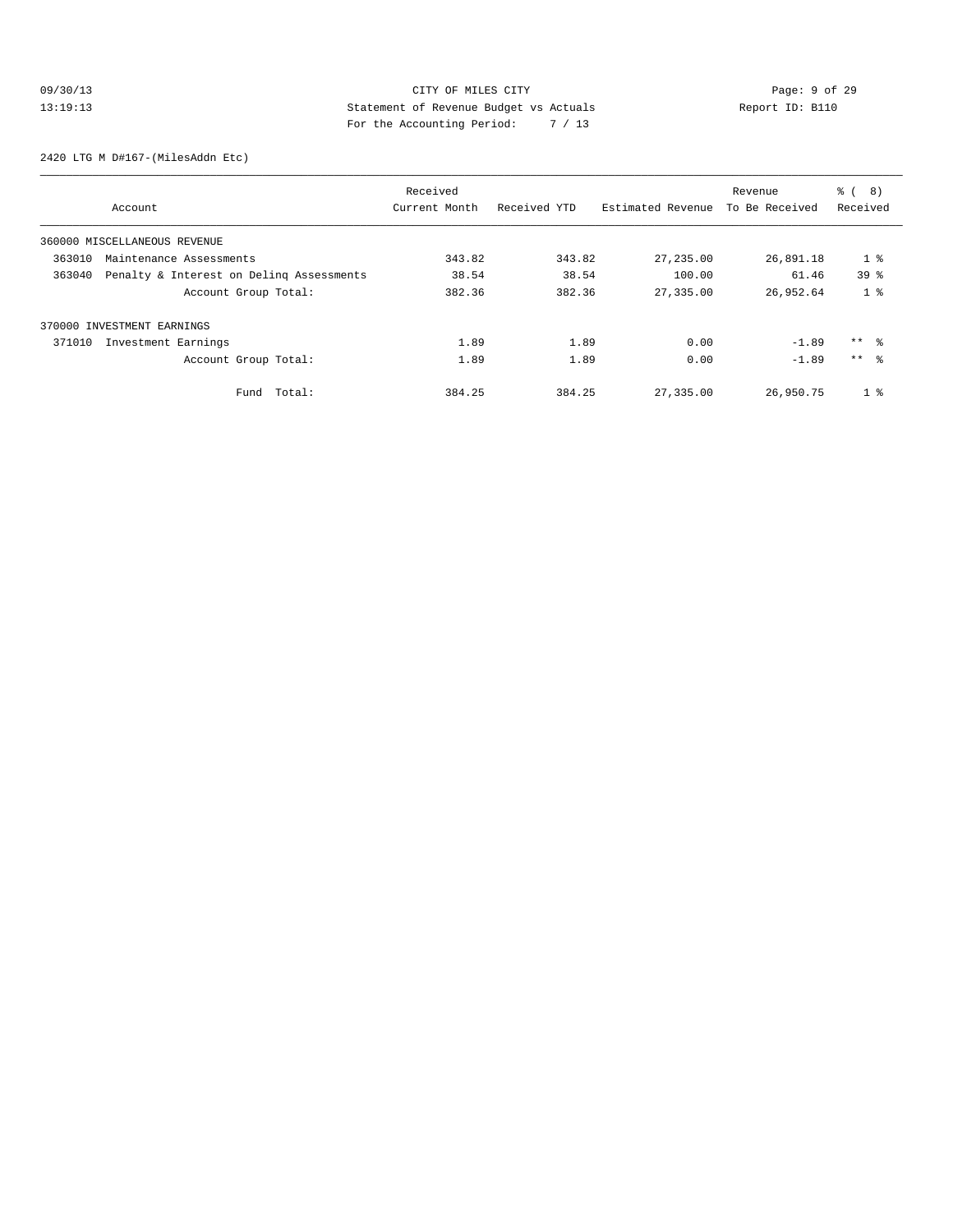# 09/30/13 Page: 9 of 29 13:19:13 Statement of Revenue Budget vs Actuals Report ID: B110 For the Accounting Period: 7 / 13

2420 LTG M D#167-(MilesAddn Etc)

|        |                                          | Received      |              |                   | Revenue        | $\approx$ (<br>8) |
|--------|------------------------------------------|---------------|--------------|-------------------|----------------|-------------------|
|        | Account                                  | Current Month | Received YTD | Estimated Revenue | To Be Received | Received          |
|        | 360000 MISCELLANEOUS REVENUE             |               |              |                   |                |                   |
| 363010 | Maintenance Assessments                  | 343.82        | 343.82       | 27,235.00         | 26,891.18      | 1 <sup>8</sup>    |
| 363040 | Penalty & Interest on Deling Assessments | 38.54         | 38.54        | 100.00            | 61.46          | 39 <sup>8</sup>   |
|        | Account Group Total:                     | 382.36        | 382.36       | 27,335.00         | 26,952.64      | 1 <sup>8</sup>    |
|        | 370000 INVESTMENT EARNINGS               |               |              |                   |                |                   |
| 371010 | Investment Earnings                      | 1.89          | 1.89         | 0.00              | $-1.89$        | $***$ %           |
|        | Account Group Total:                     | 1.89          | 1.89         | 0.00              | $-1.89$        | $***$ $\approx$   |
|        | Total:<br>Fund                           | 384.25        | 384.25       | 27,335.00         | 26,950.75      | 1 <sup>8</sup>    |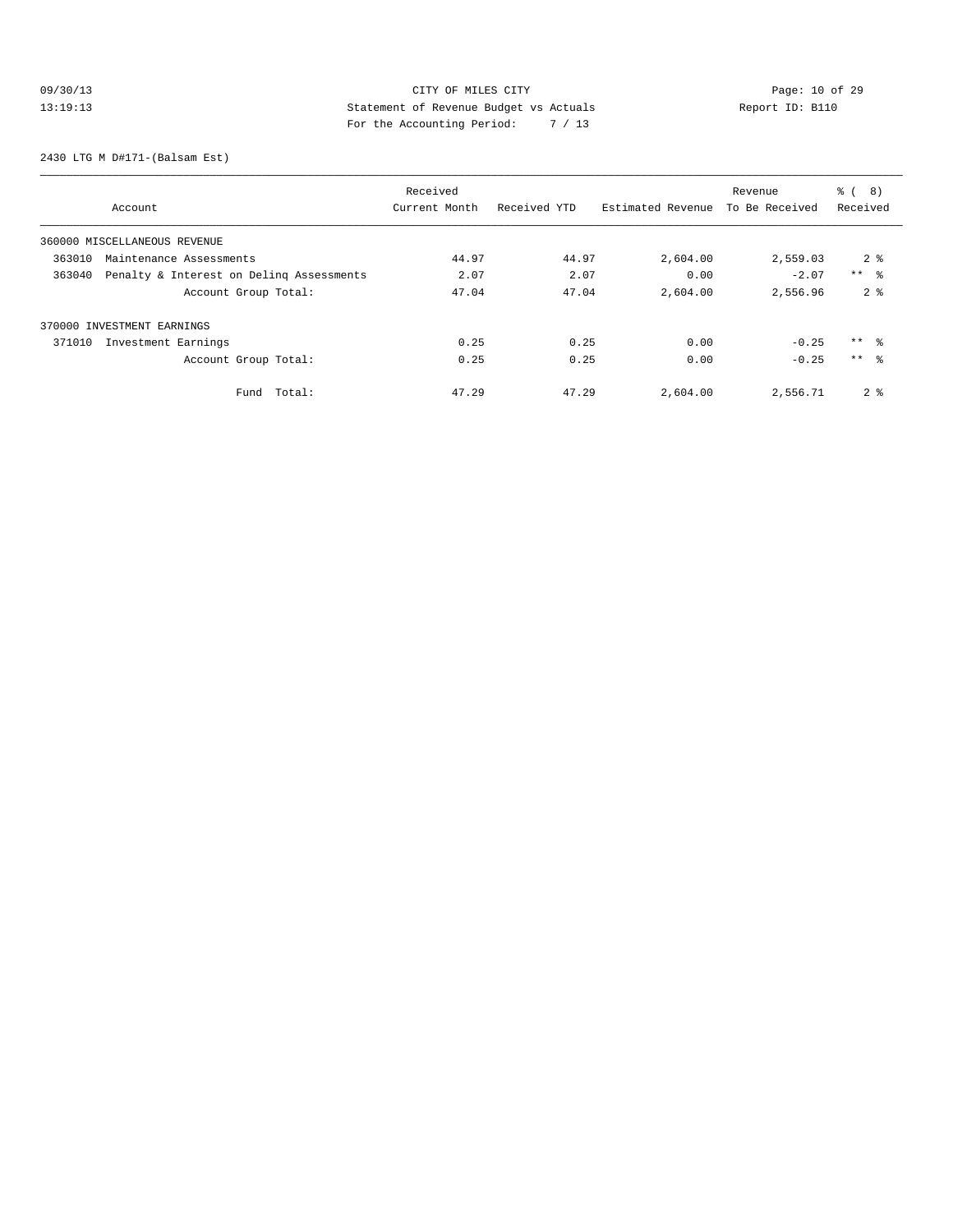# 09/30/13 Page: 10 of 29 13:19:13 Statement of Revenue Budget vs Actuals Report ID: B110 For the Accounting Period: 7 / 13

2430 LTG M D#171-(Balsam Est)

|                                                    | Received      |              |                   | Revenue        | 8)<br>$\frac{6}{6}$ |
|----------------------------------------------------|---------------|--------------|-------------------|----------------|---------------------|
| Account                                            | Current Month | Received YTD | Estimated Revenue | To Be Received | Received            |
| 360000 MISCELLANEOUS REVENUE                       |               |              |                   |                |                     |
| 363010<br>Maintenance Assessments                  | 44.97         | 44.97        | 2,604.00          | 2,559.03       | 2 <sup>8</sup>      |
| 363040<br>Penalty & Interest on Deling Assessments | 2.07          | 2.07         | 0.00              | $-2.07$        | $***$ $ -$          |
| Account Group Total:                               | 47.04         | 47.04        | 2,604.00          | 2,556.96       | 2 <sup>8</sup>      |
| 370000 INVESTMENT EARNINGS                         |               |              |                   |                |                     |
| 371010<br>Investment Earnings                      | 0.25          | 0.25         | 0.00              | $-0.25$        | $***$ %             |
| Account Group Total:                               | 0.25          | 0.25         | 0.00              | $-0.25$        | $***$ $\approx$     |
| Total:<br>Fund                                     | 47.29         | 47.29        | 2,604.00          | 2,556.71       | 2 <sub>8</sub>      |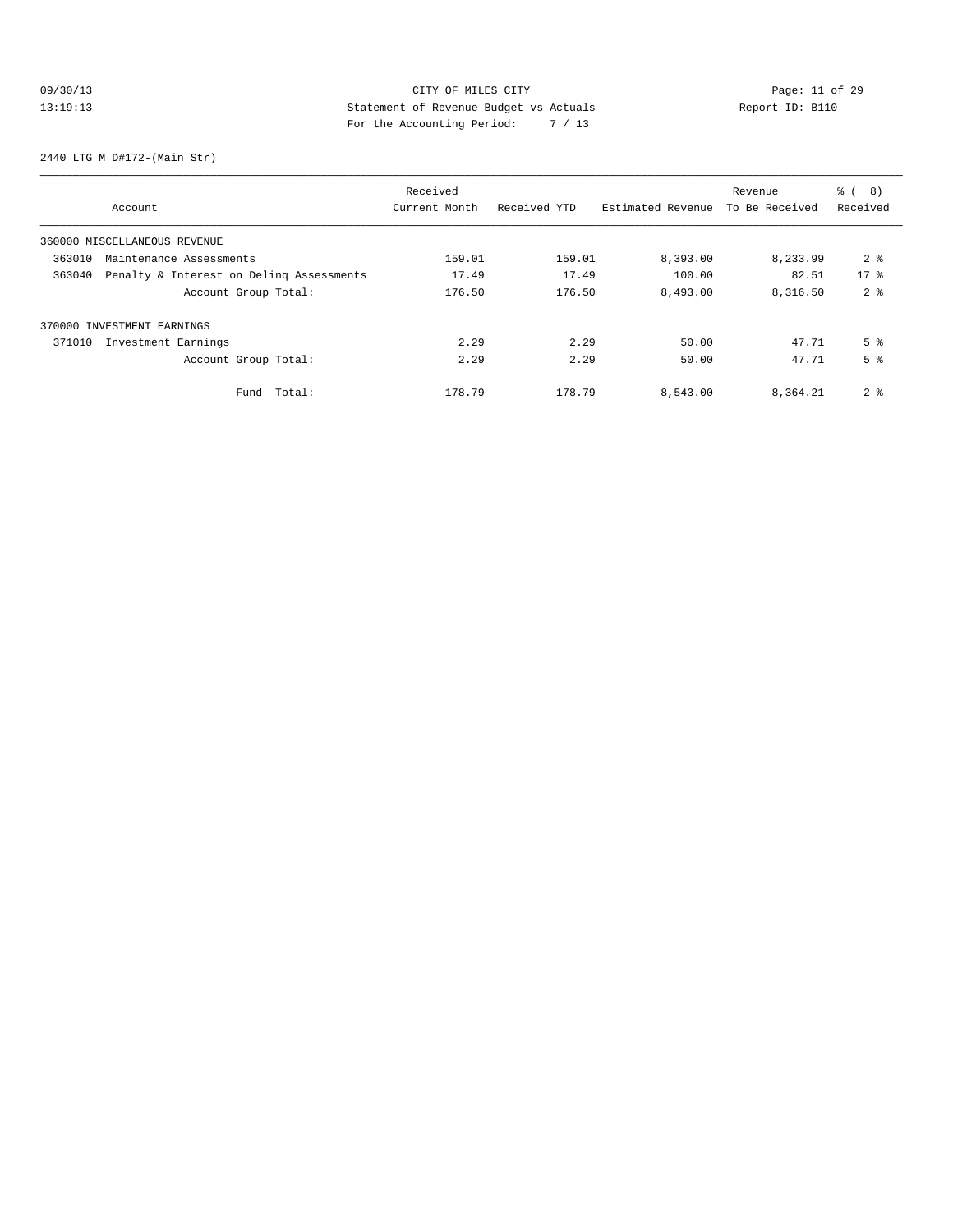# 09/30/13 Page: 11 of 29 13:19:13 Statement of Revenue Budget vs Actuals Report ID: B110<br>Report ID: B110 For the Accounting Period: 7 / 13

2440 LTG M D#172-(Main Str)

|        |                                          | Received      |              |                   | Revenue        | $\approx$ (<br>8) |
|--------|------------------------------------------|---------------|--------------|-------------------|----------------|-------------------|
|        | Account                                  | Current Month | Received YTD | Estimated Revenue | To Be Received | Received          |
|        | 360000 MISCELLANEOUS REVENUE             |               |              |                   |                |                   |
| 363010 | Maintenance Assessments                  | 159.01        | 159.01       | 8,393.00          | 8,233.99       | 2 <sup>8</sup>    |
| 363040 | Penalty & Interest on Deling Assessments | 17.49         | 17.49        | 100.00            | 82.51          | $17*$             |
|        | Account Group Total:                     | 176.50        | 176.50       | 8,493.00          | 8,316.50       | 2 <sup>8</sup>    |
|        | 370000 INVESTMENT EARNINGS               |               |              |                   |                |                   |
| 371010 | Investment Earnings                      | 2.29          | 2.29         | 50.00             | 47.71          | 5 <sup>8</sup>    |
|        | Account Group Total:                     | 2.29          | 2.29         | 50.00             | 47.71          | 5 <sup>8</sup>    |
|        | Total:<br>Fund                           | 178.79        | 178.79       | 8,543.00          | 8,364.21       | 2 <sup>8</sup>    |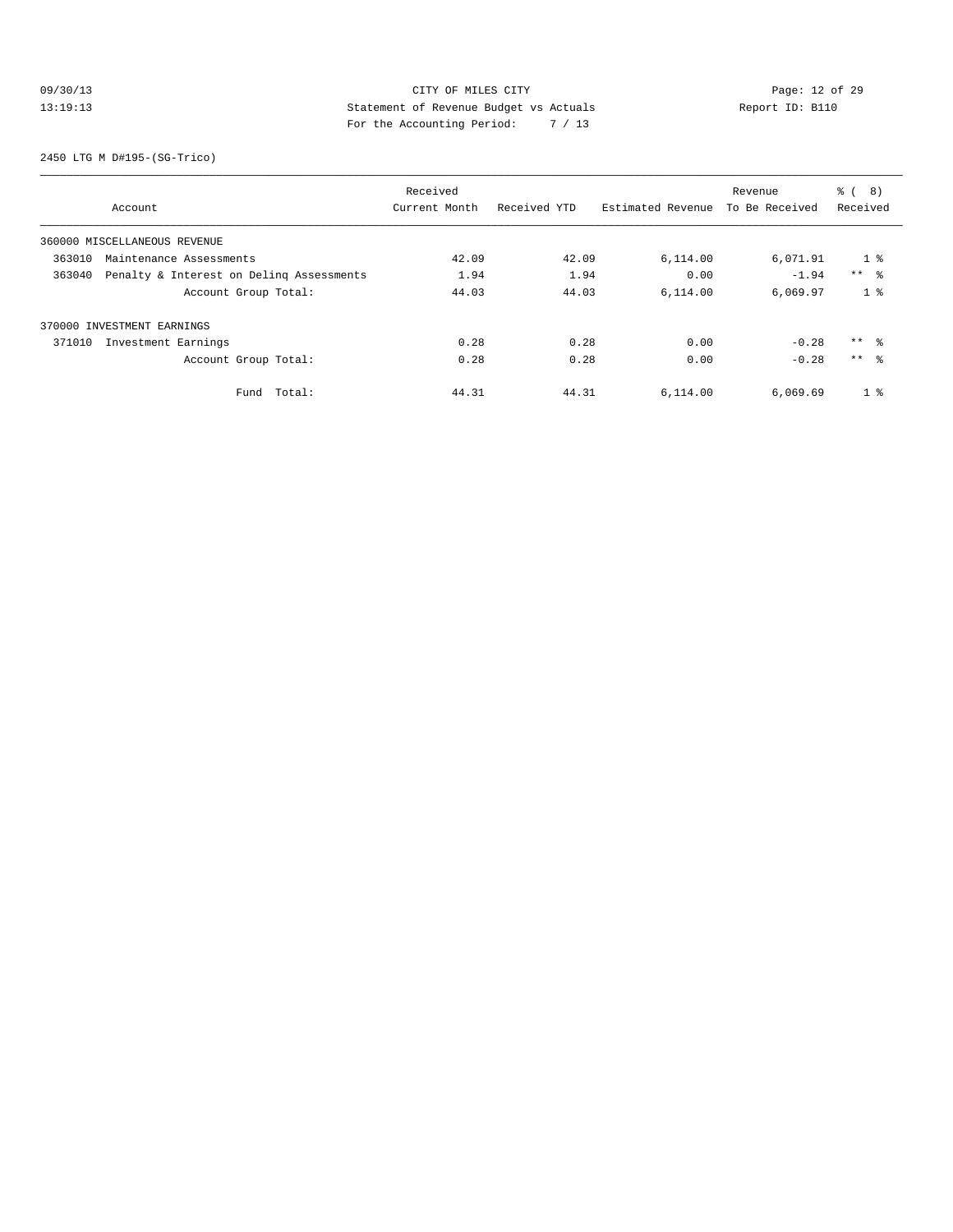# 09/30/13 Page: 12 of 29 13:19:13 Statement of Revenue Budget vs Actuals Report ID: B110 For the Accounting Period: 7 / 13

2450 LTG M D#195-(SG-Trico)

|        |                                          | Received      |              |                   | Revenue        | $\approx$ (<br>8) |
|--------|------------------------------------------|---------------|--------------|-------------------|----------------|-------------------|
|        | Account                                  | Current Month | Received YTD | Estimated Revenue | To Be Received | Received          |
|        | 360000 MISCELLANEOUS REVENUE             |               |              |                   |                |                   |
| 363010 | Maintenance Assessments                  | 42.09         | 42.09        | 6,114.00          | 6,071.91       | 1 <sup>8</sup>    |
| 363040 | Penalty & Interest on Deling Assessments | 1.94          | 1.94         | 0.00              | $-1.94$        | $***$ %           |
|        | Account Group Total:                     | 44.03         | 44.03        | 6.114.00          | 6,069.97       | 1 <sup>8</sup>    |
|        | 370000 INVESTMENT EARNINGS               |               |              |                   |                |                   |
| 371010 | Investment Earnings                      | 0.28          | 0.28         | 0.00              | $-0.28$        | $***$ %           |
|        | Account Group Total:                     | 0.28          | 0.28         | 0.00              | $-0.28$        | $***$ 8           |
|        | Total:<br>Fund                           | 44.31         | 44.31        | 6,114.00          | 6,069.69       | 1 <sup>8</sup>    |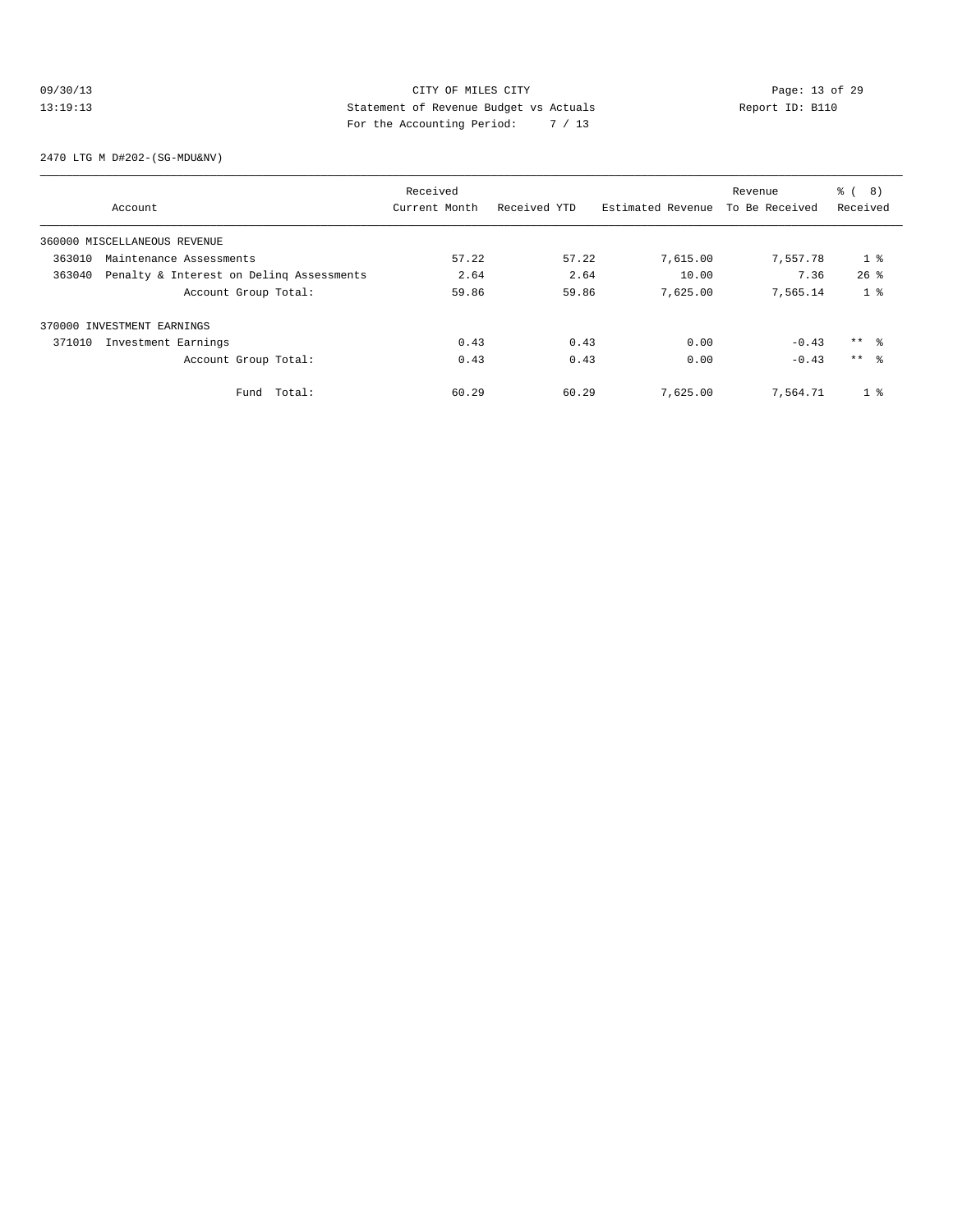# 09/30/13 Page: 13 of 29 13:19:13 Statement of Revenue Budget vs Actuals Report ID: B110 For the Accounting Period: 7 / 13

2470 LTG M D#202-(SG-MDU&NV)

|                                                    | Received      |              |                   | Revenue        | <b>%</b> (<br>8) |
|----------------------------------------------------|---------------|--------------|-------------------|----------------|------------------|
| Account                                            | Current Month | Received YTD | Estimated Revenue | To Be Received | Received         |
| 360000 MISCELLANEOUS REVENUE                       |               |              |                   |                |                  |
| 363010<br>Maintenance Assessments                  | 57.22         | 57.22        | 7,615.00          | 7,557.78       | 1 <sup>8</sup>   |
| Penalty & Interest on Deling Assessments<br>363040 | 2.64          | 2.64         | 10.00             | 7.36           | $26$ %           |
| Account Group Total:                               | 59.86         | 59.86        | 7,625.00          | 7,565.14       | 1 <sup>8</sup>   |
| 370000 INVESTMENT EARNINGS                         |               |              |                   |                |                  |
| 371010<br>Investment Earnings                      | 0.43          | 0.43         | 0.00              | $-0.43$        | $***$ 8          |
| Account Group Total:                               | 0.43          | 0.43         | 0.00              | $-0.43$        | $***$ $\approx$  |
| Total:<br>Fund                                     | 60.29         | 60.29        | 7,625.00          | 7,564.71       | 1 <sup>8</sup>   |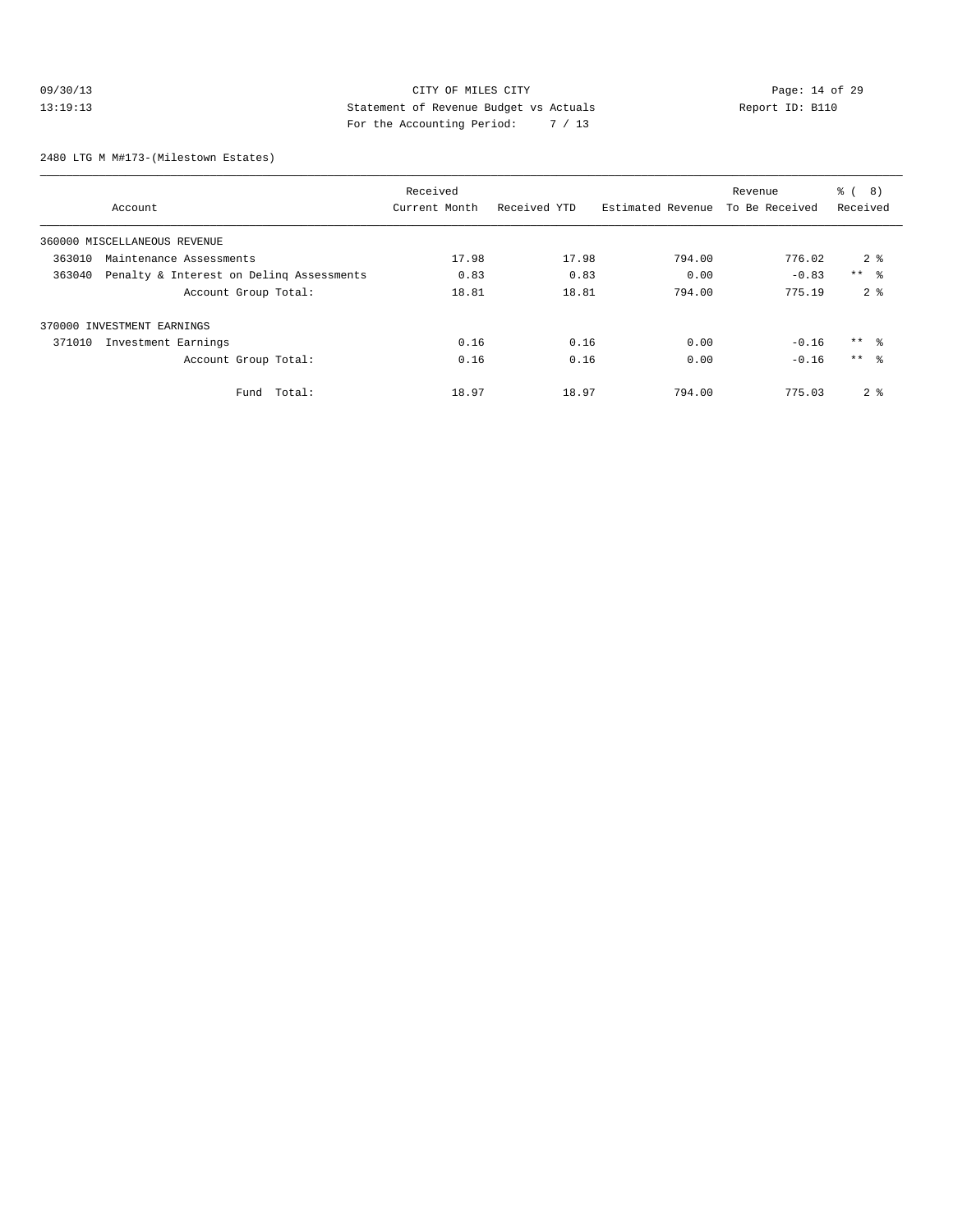# 09/30/13 Page: 14 of 29 13:19:13 Statement of Revenue Budget vs Actuals Report ID: B110 For the Accounting Period: 7 / 13

2480 LTG M M#173-(Milestown Estates)

|                                                    | Received      |              |                   | Revenue        | $\frac{6}{6}$<br>8) |
|----------------------------------------------------|---------------|--------------|-------------------|----------------|---------------------|
| Account                                            | Current Month | Received YTD | Estimated Revenue | To Be Received | Received            |
| 360000 MISCELLANEOUS REVENUE                       |               |              |                   |                |                     |
| 363010<br>Maintenance Assessments                  | 17.98         | 17.98        | 794.00            | 776.02         | 2 <sup>8</sup>      |
| Penalty & Interest on Deling Assessments<br>363040 | 0.83          | 0.83         | 0.00              | $-0.83$        | $***$ $\approx$     |
| Account Group Total:                               | 18.81         | 18.81        | 794.00            | 775.19         | 2 <sup>8</sup>      |
| 370000 INVESTMENT EARNINGS                         |               |              |                   |                |                     |
| 371010<br>Investment Earnings                      | 0.16          | 0.16         | 0.00              | $-0.16$        | $***$ $\approx$     |
| Account Group Total:                               | 0.16          | 0.16         | 0.00              | $-0.16$        | $***$ $\approx$     |
| Total:<br>Fund                                     | 18.97         | 18.97        | 794.00            | 775.03         | 2 <sup>8</sup>      |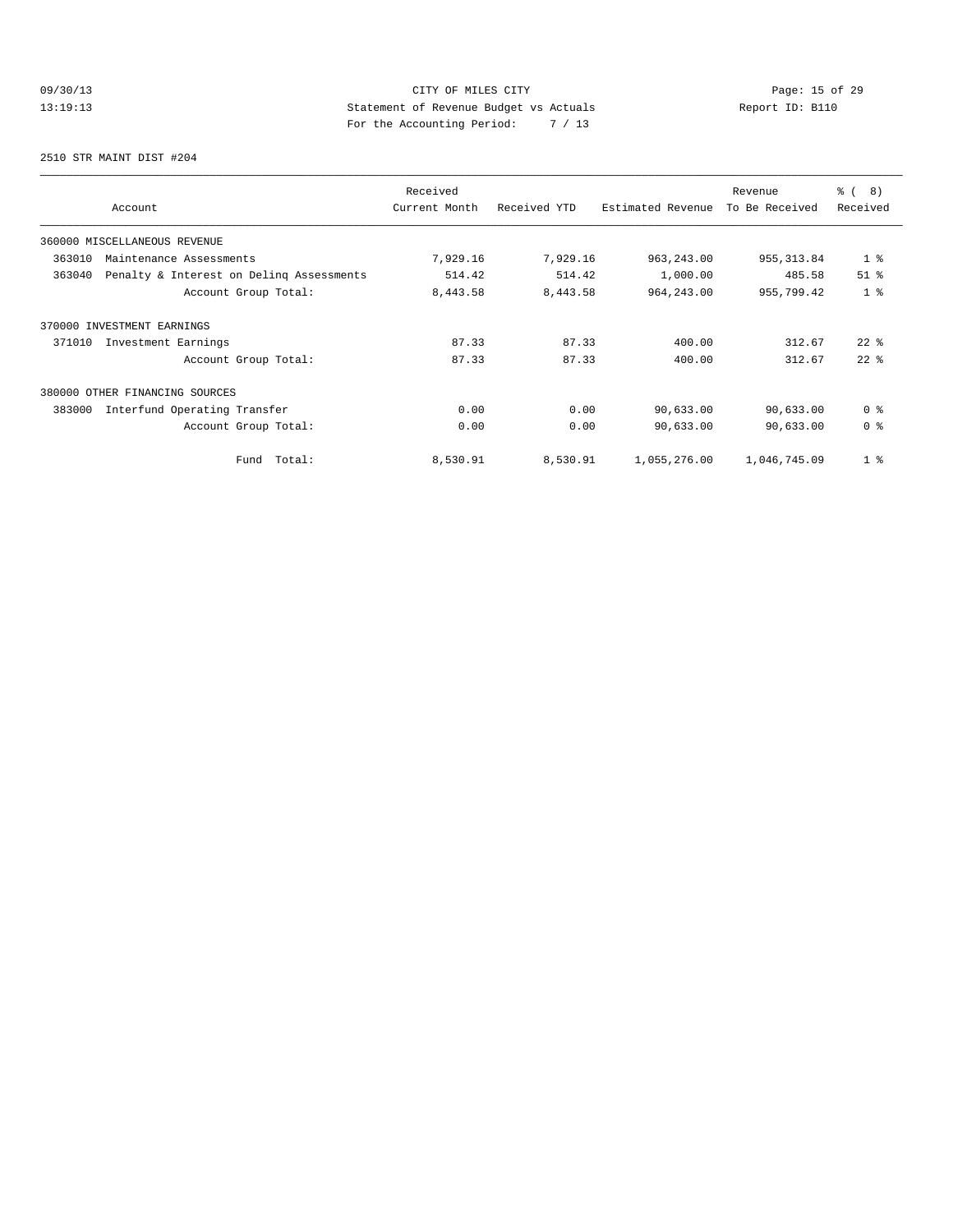# 09/30/13 Page: 15 of 29 13:19:13 Statement of Revenue Budget vs Actuals Report ID: B110<br>Report ID: B110 For the Accounting Period: 7 / 13

2510 STR MAINT DIST #204

| Account                                            | Received<br>Current Month | Received YTD | Estimated Revenue | Revenue<br>To Be Received | % ( 8 )<br>Received |
|----------------------------------------------------|---------------------------|--------------|-------------------|---------------------------|---------------------|
| 360000 MISCELLANEOUS REVENUE                       |                           |              |                   |                           |                     |
| 363010<br>Maintenance Assessments                  | 7,929.16                  | 7,929.16     | 963, 243.00       | 955, 313.84               | 1 <sup>8</sup>      |
| Penalty & Interest on Deling Assessments<br>363040 | 514.42                    | 514.42       | 1,000.00          | 485.58                    | $51$ $%$            |
| Account Group Total:                               | 8,443.58                  | 8,443.58     | 964, 243.00       | 955,799.42                | 1 <sup>8</sup>      |
| 370000 INVESTMENT EARNINGS                         |                           |              |                   |                           |                     |
| 371010<br>Investment Earnings                      | 87.33                     | 87.33        | 400.00            | 312.67                    | $22$ $%$            |
| Account Group Total:                               | 87.33                     | 87.33        | 400.00            | 312.67                    | $22$ $%$            |
| 380000 OTHER FINANCING SOURCES                     |                           |              |                   |                           |                     |
| 383000<br>Interfund Operating Transfer             | 0.00                      | 0.00         | 90,633.00         | 90,633.00                 | 0 <sup>8</sup>      |
| Account Group Total:                               | 0.00                      | 0.00         | 90,633.00         | 90,633.00                 | 0 <sup>8</sup>      |
| Total:<br>Fund                                     | 8,530.91                  | 8,530.91     | 1,055,276.00      | 1,046,745.09              | 1 <sup>8</sup>      |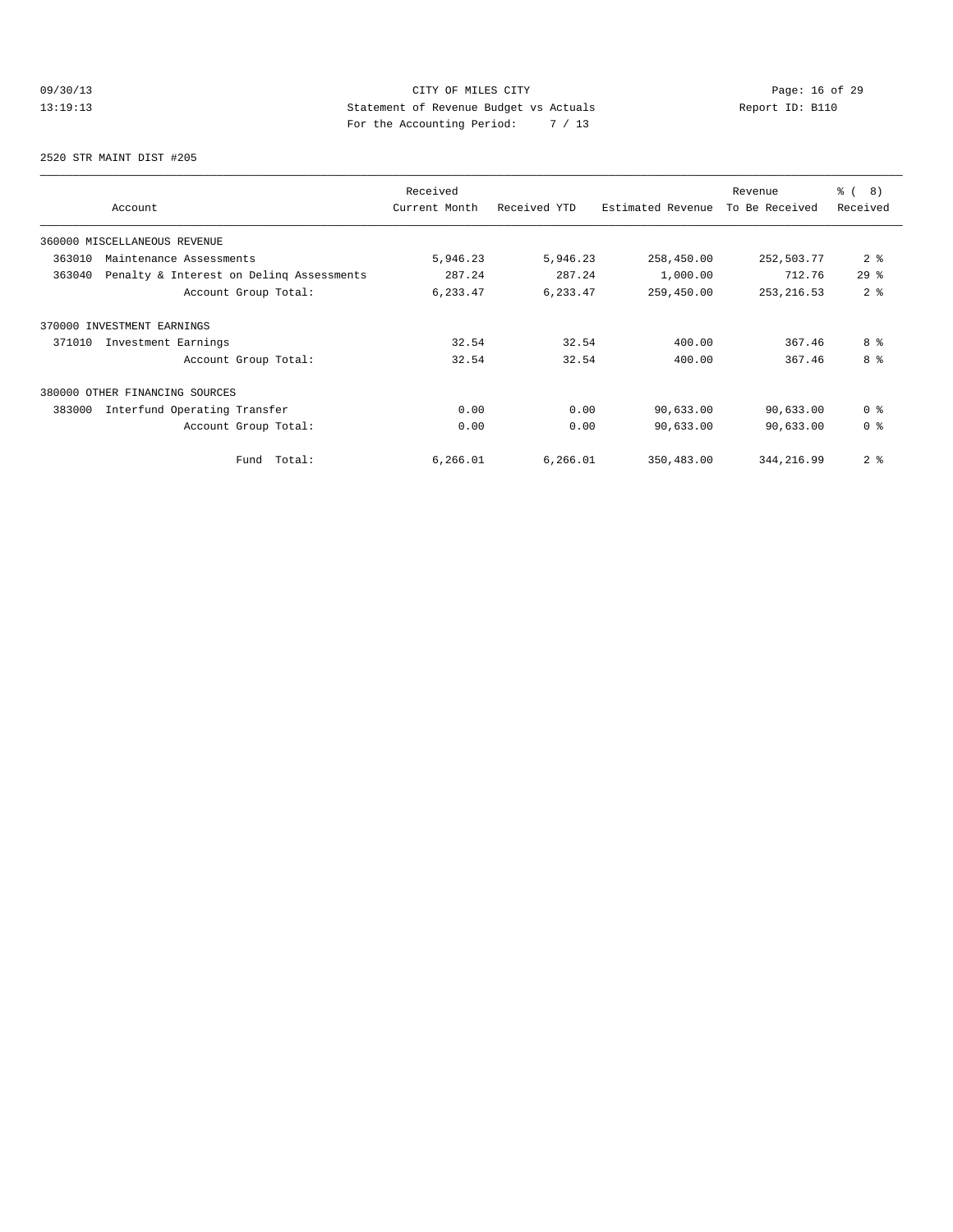# 09/30/13 Page: 16 of 29 13:19:13 Statement of Revenue Budget vs Actuals Report ID: B110 For the Accounting Period: 7 / 13

2520 STR MAINT DIST #205

| Account                                            | Received<br>Current Month | Received YTD | Estimated Revenue | Revenue<br>To Be Received | % ( 8 )<br>Received |
|----------------------------------------------------|---------------------------|--------------|-------------------|---------------------------|---------------------|
| 360000 MISCELLANEOUS REVENUE                       |                           |              |                   |                           |                     |
| 363010<br>Maintenance Assessments                  | 5,946.23                  | 5,946.23     | 258,450.00        | 252,503.77                | 2 <sub>8</sub>      |
| Penalty & Interest on Deling Assessments<br>363040 | 287.24                    | 287.24       | 1,000.00          | 712.76                    | 298                 |
| Account Group Total:                               | 6,233.47                  | 6,233.47     | 259,450.00        | 253, 216.53               | 2 <sup>8</sup>      |
| 370000 INVESTMENT EARNINGS                         |                           |              |                   |                           |                     |
| Investment Earnings<br>371010                      | 32.54                     | 32.54        | 400.00            | 367.46                    | 8 %                 |
| Account Group Total:                               | 32.54                     | 32.54        | 400.00            | 367.46                    | 8 %                 |
| OTHER FINANCING SOURCES<br>380000                  |                           |              |                   |                           |                     |
| 383000<br>Interfund Operating Transfer             | 0.00                      | 0.00         | 90,633.00         | 90,633.00                 | 0 <sup>8</sup>      |
| Account Group Total:                               | 0.00                      | 0.00         | 90,633.00         | 90,633.00                 | 0 <sup>8</sup>      |
| Total:<br>Fund                                     | 6,266.01                  | 6, 266.01    | 350,483.00        | 344, 216.99               | 2 <sub>8</sub>      |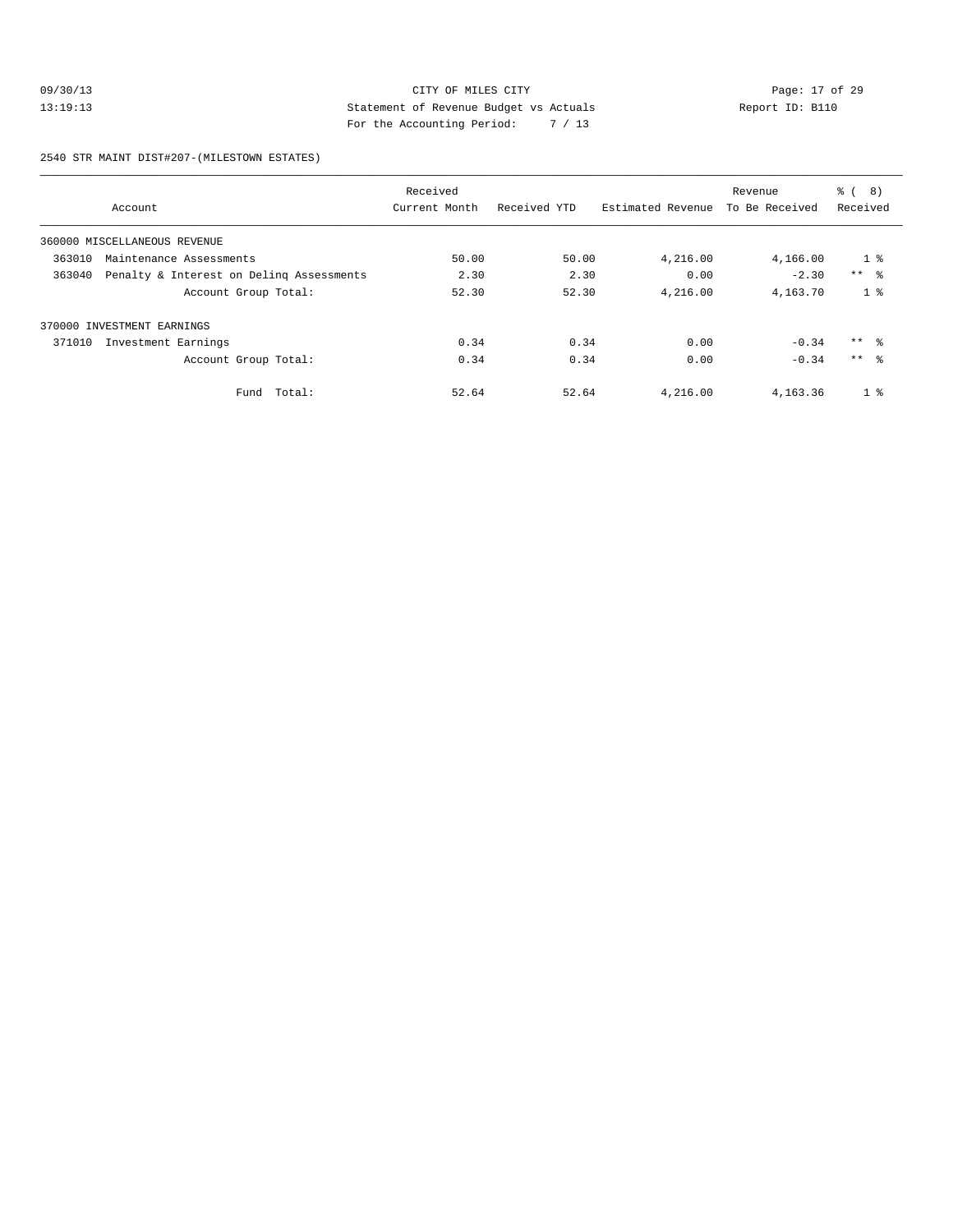# 09/30/13 Page: 17 of 29 13:19:13 Statement of Revenue Budget vs Actuals Report ID: B110 For the Accounting Period: 7 / 13

2540 STR MAINT DIST#207-(MILESTOWN ESTATES)

|                                                    | Received      |              |                   | Revenue        | $\frac{6}{6}$<br>8) |
|----------------------------------------------------|---------------|--------------|-------------------|----------------|---------------------|
| Account                                            | Current Month | Received YTD | Estimated Revenue | To Be Received | Received            |
| 360000 MISCELLANEOUS REVENUE                       |               |              |                   |                |                     |
| 363010<br>Maintenance Assessments                  | 50.00         | 50.00        | 4,216.00          | 4,166.00       | 1 <sup>8</sup>      |
| 363040<br>Penalty & Interest on Deling Assessments | 2.30          | 2.30         | 0.00              | $-2.30$        | $***$ $\approx$     |
| Account Group Total:                               | 52.30         | 52.30        | 4,216.00          | 4,163.70       | 1 <sup>8</sup>      |
| 370000 INVESTMENT EARNINGS                         |               |              |                   |                |                     |
| 371010<br>Investment Earnings                      | 0.34          | 0.34         | 0.00              | $-0.34$        | $***$ %             |
| Account Group Total:                               | 0.34          | 0.34         | 0.00              | $-0.34$        | $***$ 8             |
| Total:<br>Fund                                     | 52.64         | 52.64        | 4,216.00          | 4,163.36       | 1 <sup>8</sup>      |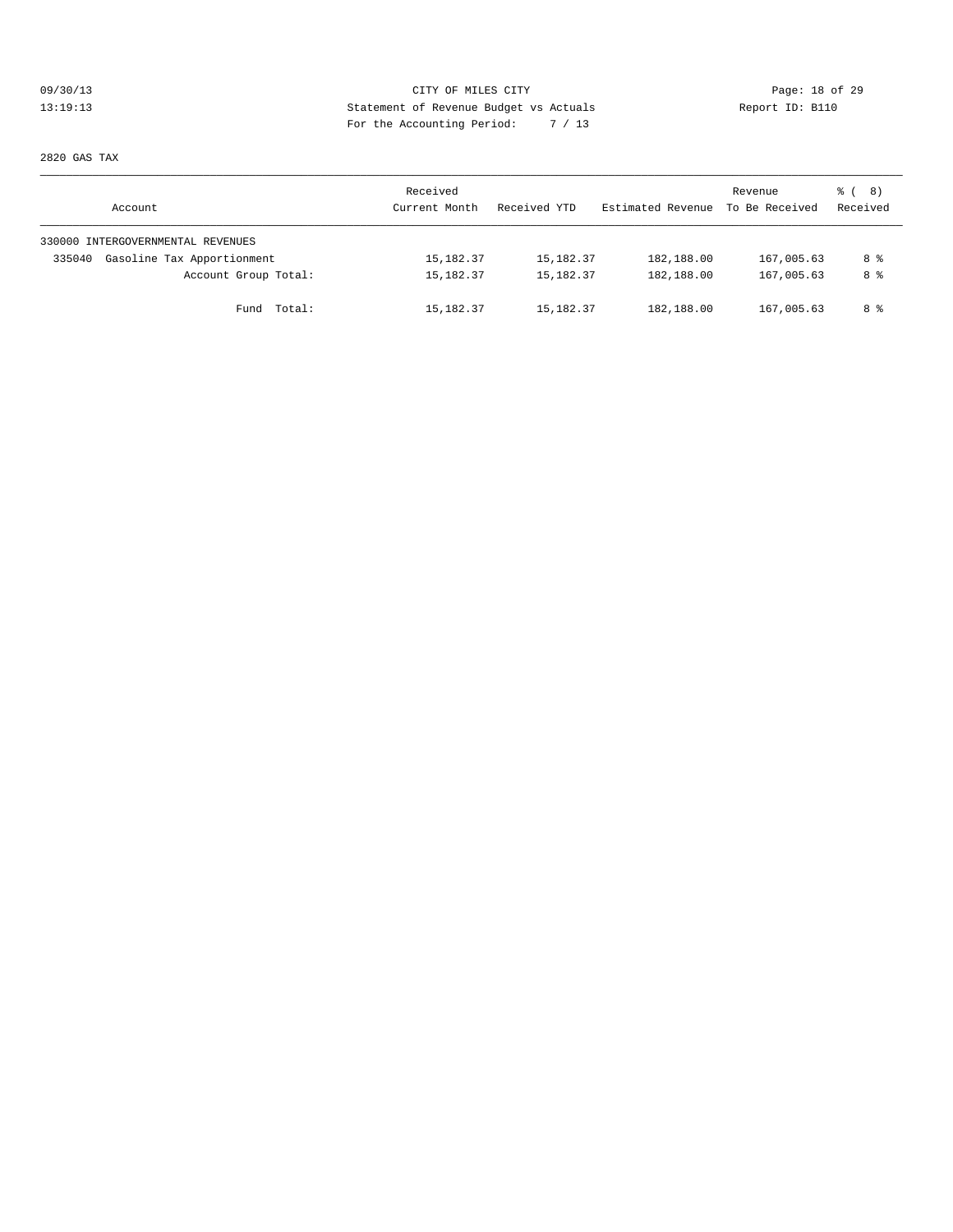# 09/30/13 Page: 18 of 29 13:19:13 Statement of Revenue Budget vs Actuals Report ID: B110 For the Accounting Period: 7 / 13

2820 GAS TAX

| Account                              | Received<br>Current Month | Received YTD | Estimated Revenue | Revenue<br>To Be Received | <sub>රී</sub> ( 8 )<br>Received |
|--------------------------------------|---------------------------|--------------|-------------------|---------------------------|---------------------------------|
| 330000 INTERGOVERNMENTAL REVENUES    |                           |              |                   |                           |                                 |
| Gasoline Tax Apportionment<br>335040 | 15, 182.37                | 15, 182. 37  | 182,188.00        | 167,005.63                | 8 %                             |
| Account Group Total:                 | 15,182.37                 | 15,182.37    | 182,188.00        | 167,005.63                | 8 %                             |
| Fund Total:                          | 15, 182.37                | 15,182.37    | 182,188.00        | 167,005.63                | 8 %                             |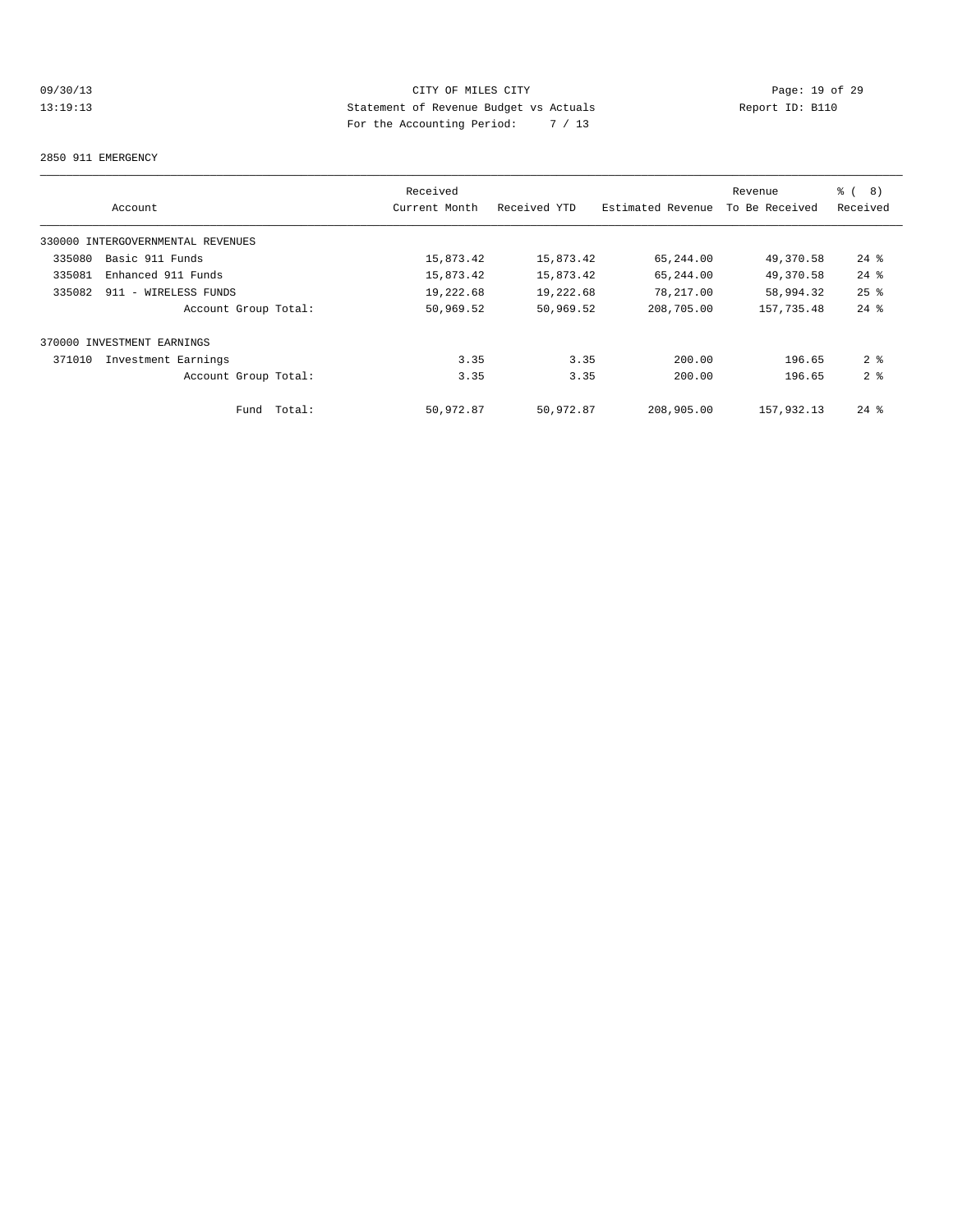# 09/30/13 Page: 19 of 29 13:19:13 Statement of Revenue Budget vs Actuals Report ID: B110 For the Accounting Period: 7 / 13

#### 2850 911 EMERGENCY

|        |                                   | Received      |              |                   | Revenue        | <b>%</b> (<br>8)   |
|--------|-----------------------------------|---------------|--------------|-------------------|----------------|--------------------|
|        | Account                           | Current Month | Received YTD | Estimated Revenue | To Be Received | Received           |
|        | 330000 INTERGOVERNMENTAL REVENUES |               |              |                   |                |                    |
| 335080 | Basic 911 Funds                   | 15,873.42     | 15,873.42    | 65,244.00         | 49,370.58      | $24$ %             |
| 335081 | Enhanced 911 Funds                | 15,873.42     | 15,873.42    | 65,244.00         | 49,370.58      | $24$ %             |
| 335082 | 911 - WIRELESS FUNDS              | 19,222.68     | 19,222.68    | 78,217.00         | 58,994.32      | $25$ %             |
|        | Account Group Total:              | 50,969.52     | 50,969.52    | 208,705.00        | 157,735.48     | $24$ %             |
|        | 370000 INVESTMENT EARNINGS        |               |              |                   |                |                    |
| 371010 | Investment Earnings               | 3.35          | 3.35         | 200.00            | 196.65         | 2 <sup>8</sup>     |
|        | Account Group Total:              | 3.35          | 3.35         | 200.00            | 196.65         | 2 <sup>8</sup>     |
|        | Total:<br>Fund                    | 50,972.87     | 50,972.87    | 208,905.00        | 157,932.13     | $24$ $\frac{6}{5}$ |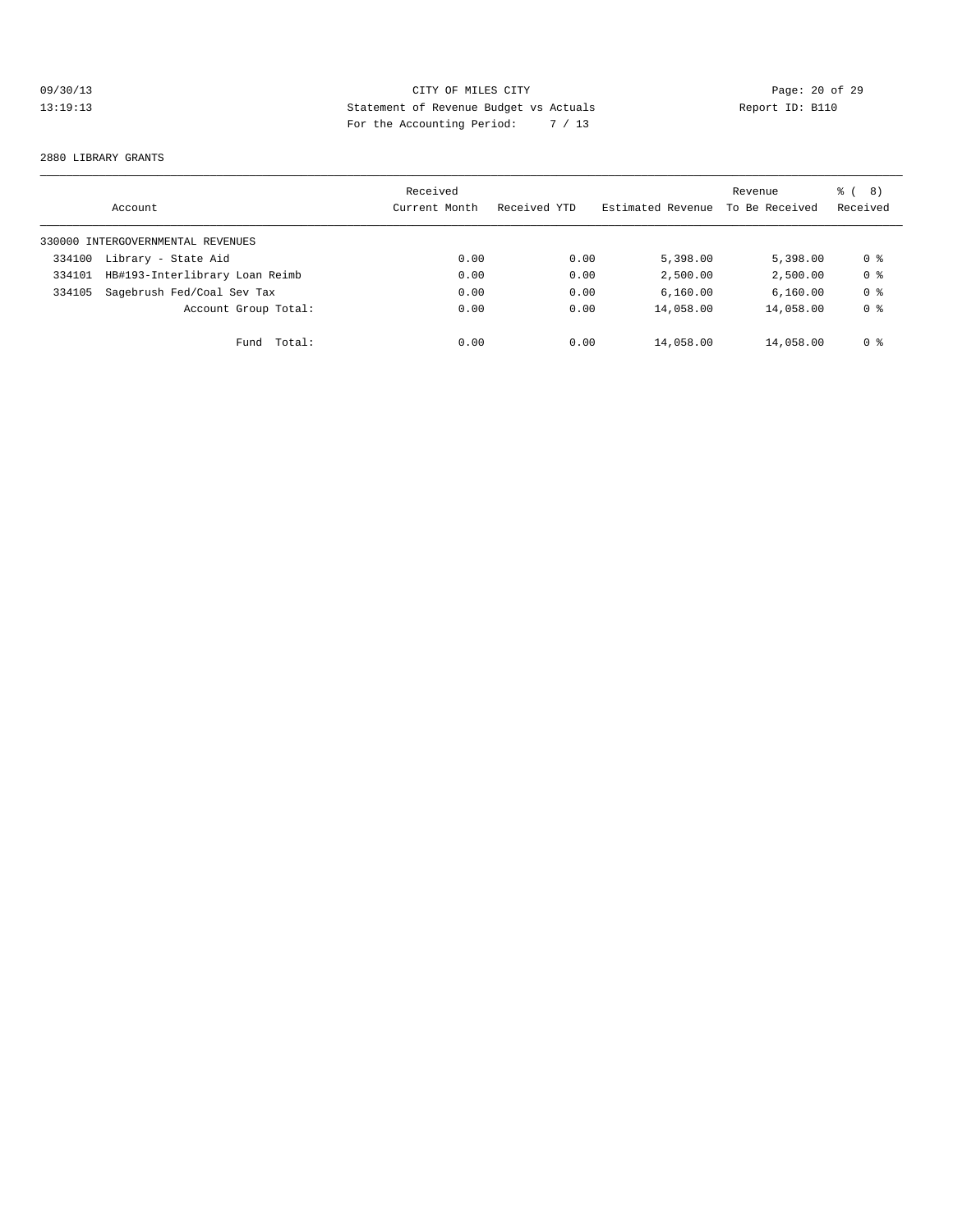# 09/30/13 Page: 20 of 29 13:19:13 Statement of Revenue Budget vs Actuals Report ID: B110 For the Accounting Period: 7 / 13

#### 2880 LIBRARY GRANTS

|        | Account                           | Received<br>Current Month | Received YTD | Estimated Revenue | Revenue<br>To Be Received | ී ( 8 )<br>Received |
|--------|-----------------------------------|---------------------------|--------------|-------------------|---------------------------|---------------------|
|        | 330000 INTERGOVERNMENTAL REVENUES |                           |              |                   |                           |                     |
| 334100 | Library - State Aid               | 0.00                      | 0.00         | 5,398.00          | 5,398,00                  | 0 %                 |
| 334101 | HB#193-Interlibrary Loan Reimb    | 0.00                      | 0.00         | 2,500.00          | 2,500.00                  | 0 <sub>8</sub>      |
| 334105 | Sagebrush Fed/Coal Sev Tax        | 0.00                      | 0.00         | 6,160.00          | 6,160.00                  | 0 <sub>8</sub>      |
|        | Account Group Total:              | 0.00                      | 0.00         | 14,058.00         | 14,058.00                 | 0 <sub>8</sub>      |
|        | Total:<br>Fund                    | 0.00                      | 0.00         | 14,058.00         | 14,058.00                 | 0 %                 |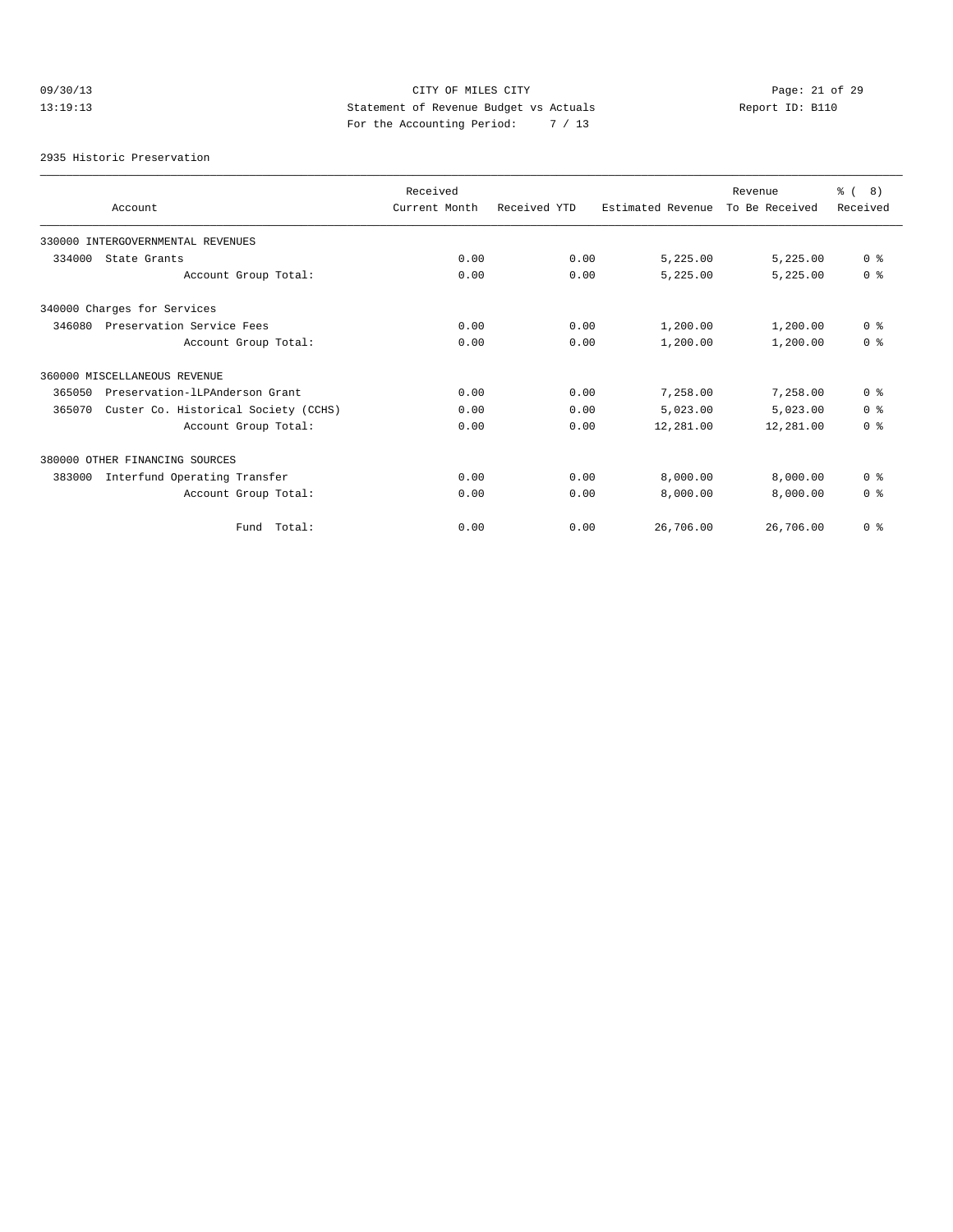# 09/30/13 Page: 21 of 29 13:19:13 Statement of Revenue Budget vs Actuals Report ID: B110 For the Accounting Period: 7 / 13

2935 Historic Preservation

| Account                                        | Received<br>Current Month | Received YTD | Estimated Revenue | Revenue<br>To Be Received | $\frac{6}{6}$ ( 8)<br>Received |
|------------------------------------------------|---------------------------|--------------|-------------------|---------------------------|--------------------------------|
| 330000 INTERGOVERNMENTAL REVENUES              |                           |              |                   |                           |                                |
| 334000<br>State Grants                         | 0.00                      | 0.00         | 5,225.00          | 5.225.00                  | 0 <sup>8</sup>                 |
| Account Group Total:                           | 0.00                      | 0.00         | 5,225.00          | 5,225.00                  | 0 <sup>8</sup>                 |
| 340000 Charges for Services                    |                           |              |                   |                           |                                |
| 346080<br>Preservation Service Fees            | 0.00                      | 0.00         | 1,200.00          | 1,200.00                  | 0 <sup>8</sup>                 |
| Account Group Total:                           | 0.00                      | 0.00         | 1,200.00          | 1,200.00                  | 0 <sup>8</sup>                 |
| 360000 MISCELLANEOUS REVENUE                   |                           |              |                   |                           |                                |
| Preservation-ILPAnderson Grant<br>365050       | 0.00                      | 0.00         | 7,258.00          | 7,258.00                  | 0 <sup>8</sup>                 |
| Custer Co. Historical Society (CCHS)<br>365070 | 0.00                      | 0.00         | 5,023.00          | 5,023.00                  | 0 <sup>8</sup>                 |
| Account Group Total:                           | 0.00                      | 0.00         | 12,281.00         | 12,281.00                 | 0 <sup>8</sup>                 |
| 380000 OTHER FINANCING SOURCES                 |                           |              |                   |                           |                                |
| Interfund Operating Transfer<br>383000         | 0.00                      | 0.00         | 8,000.00          | 8,000.00                  | 0 <sup>8</sup>                 |
| Account Group Total:                           | 0.00                      | 0.00         | 8.000.00          | 8,000.00                  | $0 \text{ }$ $\text{ }$        |
| Fund Total:                                    | 0.00                      | 0.00         | 26,706.00         | 26,706.00                 | 0 <sup>8</sup>                 |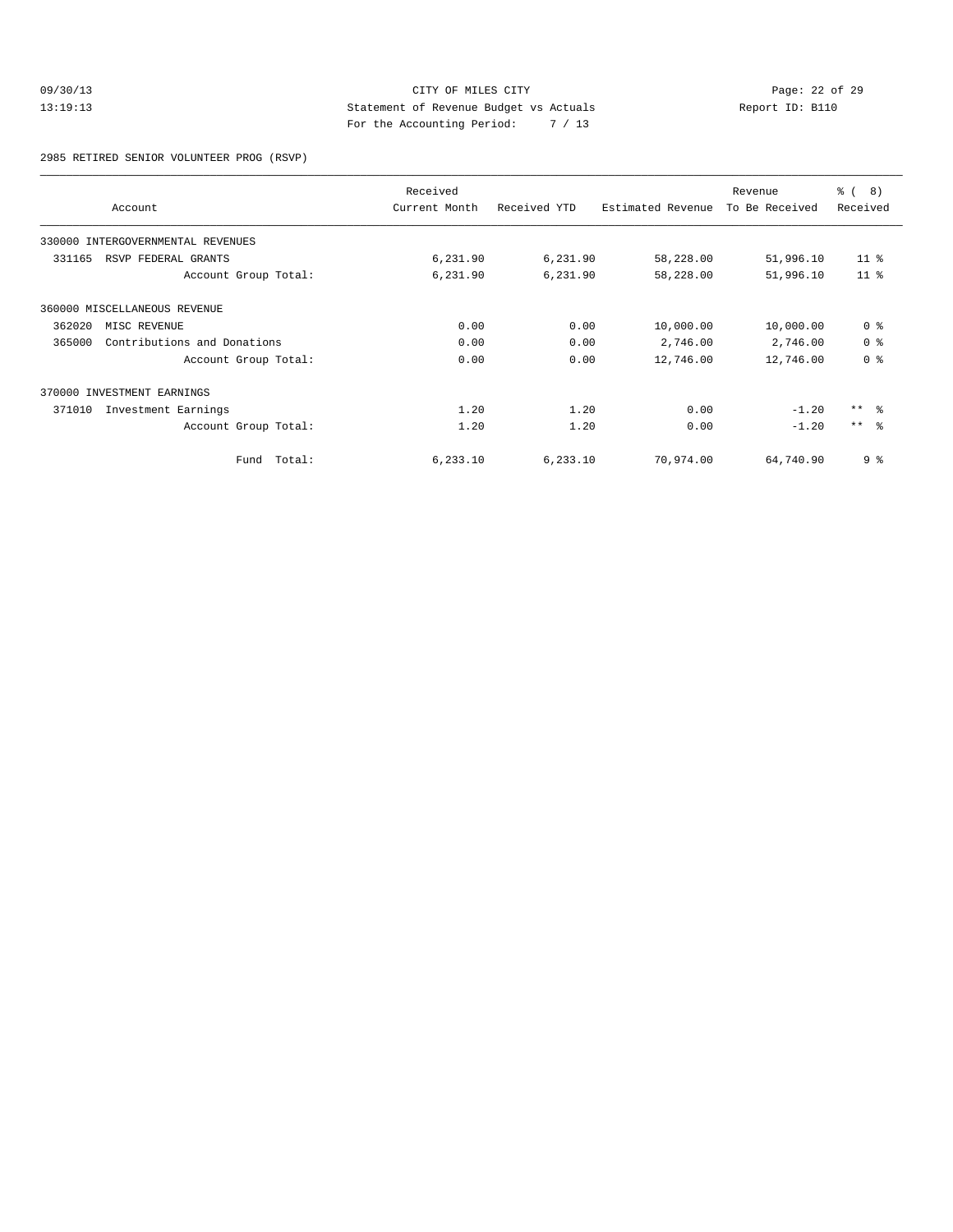# 09/30/13 CITY OF MILES CITY<br>13:19:13 CITY OF MILES CITY<br>29 Statement of Revenue Budget vs Actuals<br>2009 City Agency Michael Statement of Revenue Budget vs Actuals 13:19:13 Statement of Revenue Budget vs Actuals Report ID: B110 For the Accounting Period: 7 / 13

2985 RETIRED SENIOR VOLUNTEER PROG (RSVP)

|        | Account                           | Received<br>Current Month | Received YTD | Estimated Revenue | Revenue<br>To Be Received | % ( 8 )<br>Received |
|--------|-----------------------------------|---------------------------|--------------|-------------------|---------------------------|---------------------|
|        | 330000 INTERGOVERNMENTAL REVENUES |                           |              |                   |                           |                     |
| 331165 | RSVP FEDERAL GRANTS               | 6,231.90                  | 6,231.90     | 58,228.00         | 51,996.10                 | $11*$               |
|        | Account Group Total:              | 6,231.90                  | 6,231.90     | 58,228.00         | 51,996.10                 | 11 <sup>8</sup>     |
|        | 360000 MISCELLANEOUS REVENUE      |                           |              |                   |                           |                     |
| 362020 | MISC REVENUE                      | 0.00                      | 0.00         | 10,000.00         | 10,000.00                 | 0 <sup>8</sup>      |
| 365000 | Contributions and Donations       | 0.00                      | 0.00         | 2,746.00          | 2,746.00                  | 0 <sup>8</sup>      |
|        | Account Group Total:              | 0.00                      | 0.00         | 12,746.00         | 12,746.00                 | 0 <sup>8</sup>      |
|        | 370000 INVESTMENT EARNINGS        |                           |              |                   |                           |                     |
| 371010 | Investment Earnings               | 1.20                      | 1.20         | 0.00              | $-1.20$                   | $***$ $ -$          |
|        | Account Group Total:              | 1.20                      | 1.20         | 0.00              | $-1.20$                   | $***$ $\frac{6}{5}$ |
|        | Total:<br>Fund                    | 6, 233.10                 | 6, 233.10    | 70,974.00         | 64,740.90                 | 9 <sup>°</sup>      |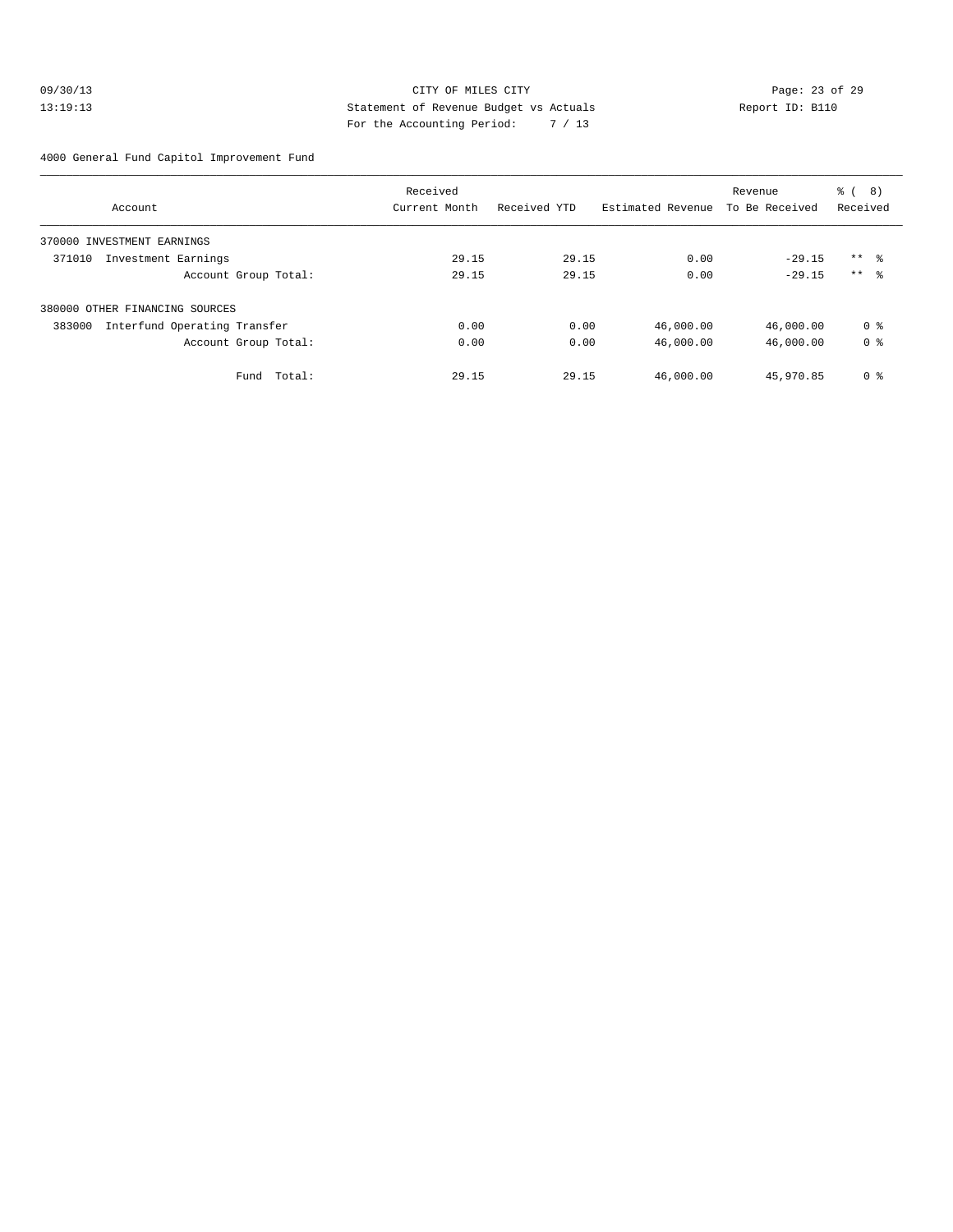#### 09/30/13 Page: 23 of 29 13:19:13 Statement of Revenue Budget vs Actuals Report ID: B110 For the Accounting Period: 7 / 13

4000 General Fund Capitol Improvement Fund

|                                        | Received      |              |                   | Revenue        | ී (<br>(8)     |
|----------------------------------------|---------------|--------------|-------------------|----------------|----------------|
| Account                                | Current Month | Received YTD | Estimated Revenue | To Be Received | Received       |
| 370000 INVESTMENT EARNINGS             |               |              |                   |                |                |
| 371010<br>Investment Earnings          | 29.15         | 29.15        | 0.00              | $-29.15$       | $***$ %        |
| Account Group Total:                   | 29.15         | 29.15        | 0.00              | $-29.15$       | $***$ %        |
| 380000 OTHER FINANCING SOURCES         |               |              |                   |                |                |
| Interfund Operating Transfer<br>383000 | 0.00          | 0.00         | 46,000.00         | 46,000.00      | 0 <sub>8</sub> |
| Account Group Total:                   | 0.00          | 0.00         | 46,000.00         | 46,000.00      | 0 <sub>8</sub> |
| Fund Total:                            | 29.15         | 29.15        | 46,000.00         | 45,970.85      | 0 <sup>8</sup> |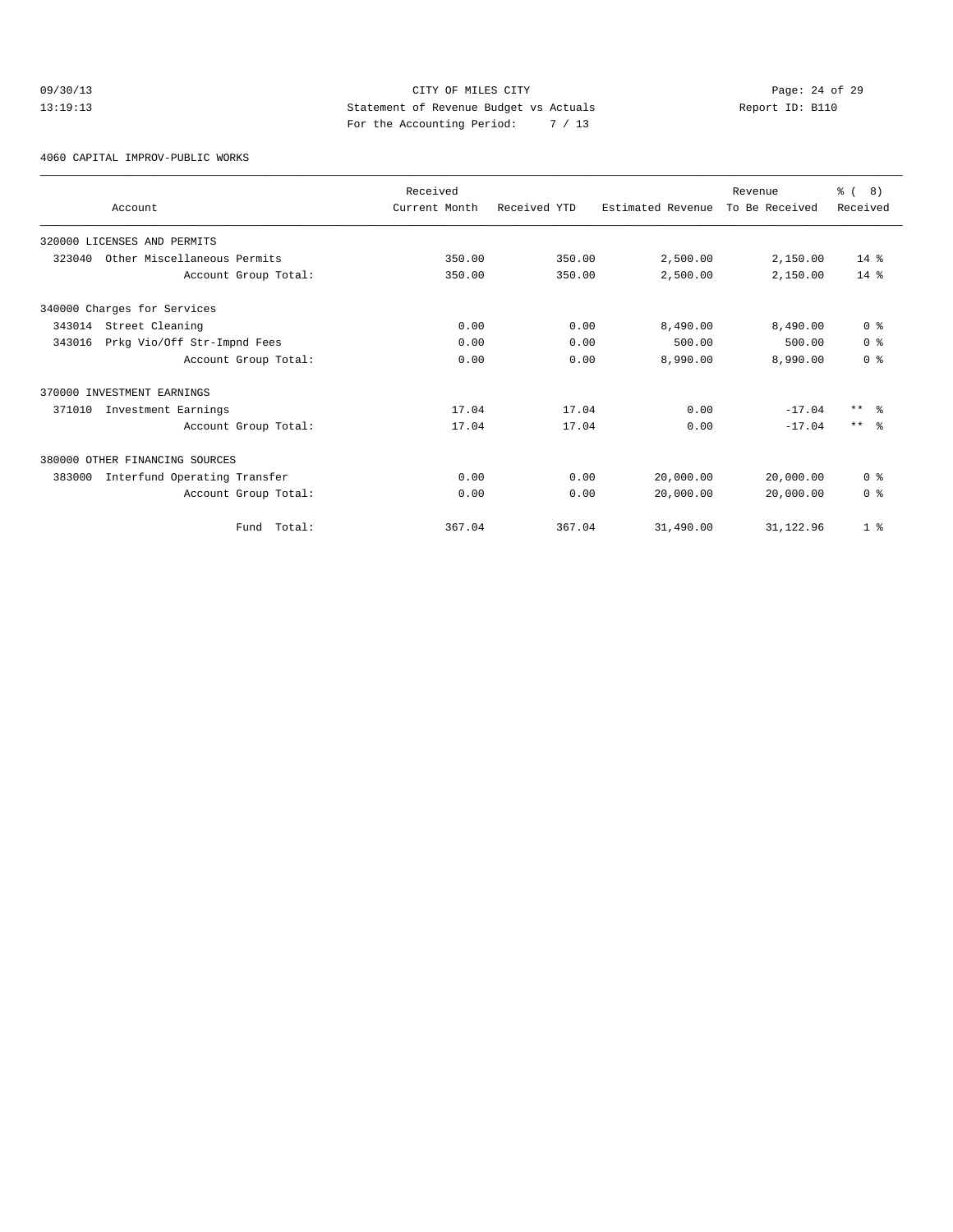# 09/30/13 Page: 24 of 29 13:19:13 Statement of Revenue Budget vs Actuals Report ID: B110 For the Accounting Period: 7 / 13

4060 CAPITAL IMPROV-PUBLIC WORKS

| Account                                | Received<br>Current Month | Received YTD | Estimated Revenue | Revenue<br>To Be Received | $\frac{6}{6}$ ( 8)<br>Received |
|----------------------------------------|---------------------------|--------------|-------------------|---------------------------|--------------------------------|
| 320000 LICENSES AND PERMITS            |                           |              |                   |                           |                                |
| 323040<br>Other Miscellaneous Permits  | 350.00                    | 350.00       | 2,500.00          | 2,150.00                  | $14*$                          |
| Account Group Total:                   | 350.00                    | 350.00       | 2,500.00          | 2,150.00                  | $14*$                          |
| 340000 Charges for Services            |                           |              |                   |                           |                                |
| Street Cleaning<br>343014              | 0.00                      | 0.00         | 8,490.00          | 8,490.00                  | 0 <sup>8</sup>                 |
| 343016<br>Prkg Vio/Off Str-Impnd Fees  | 0.00                      | 0.00         | 500.00            | 500.00                    | 0 <sup>8</sup>                 |
| Account Group Total:                   | 0.00                      | 0.00         | 8,990.00          | 8,990.00                  | 0 <sup>8</sup>                 |
| 370000 INVESTMENT EARNINGS             |                           |              |                   |                           |                                |
| 371010<br>Investment Earnings          | 17.04                     | 17.04        | 0.00              | $-17.04$                  | $***$ $\approx$                |
| Account Group Total:                   | 17.04                     | 17.04        | 0.00              | $-17.04$                  | $***$ $\approx$                |
| 380000 OTHER FINANCING SOURCES         |                           |              |                   |                           |                                |
| 383000<br>Interfund Operating Transfer | 0.00                      | 0.00         | 20,000.00         | 20,000.00                 | 0 <sup>8</sup>                 |
| Account Group Total:                   | 0.00                      | 0.00         | 20,000.00         | 20,000.00                 | 0 <sup>8</sup>                 |
| Fund Total:                            | 367.04                    | 367.04       | 31,490.00         | 31, 122.96                | 1 <sup>8</sup>                 |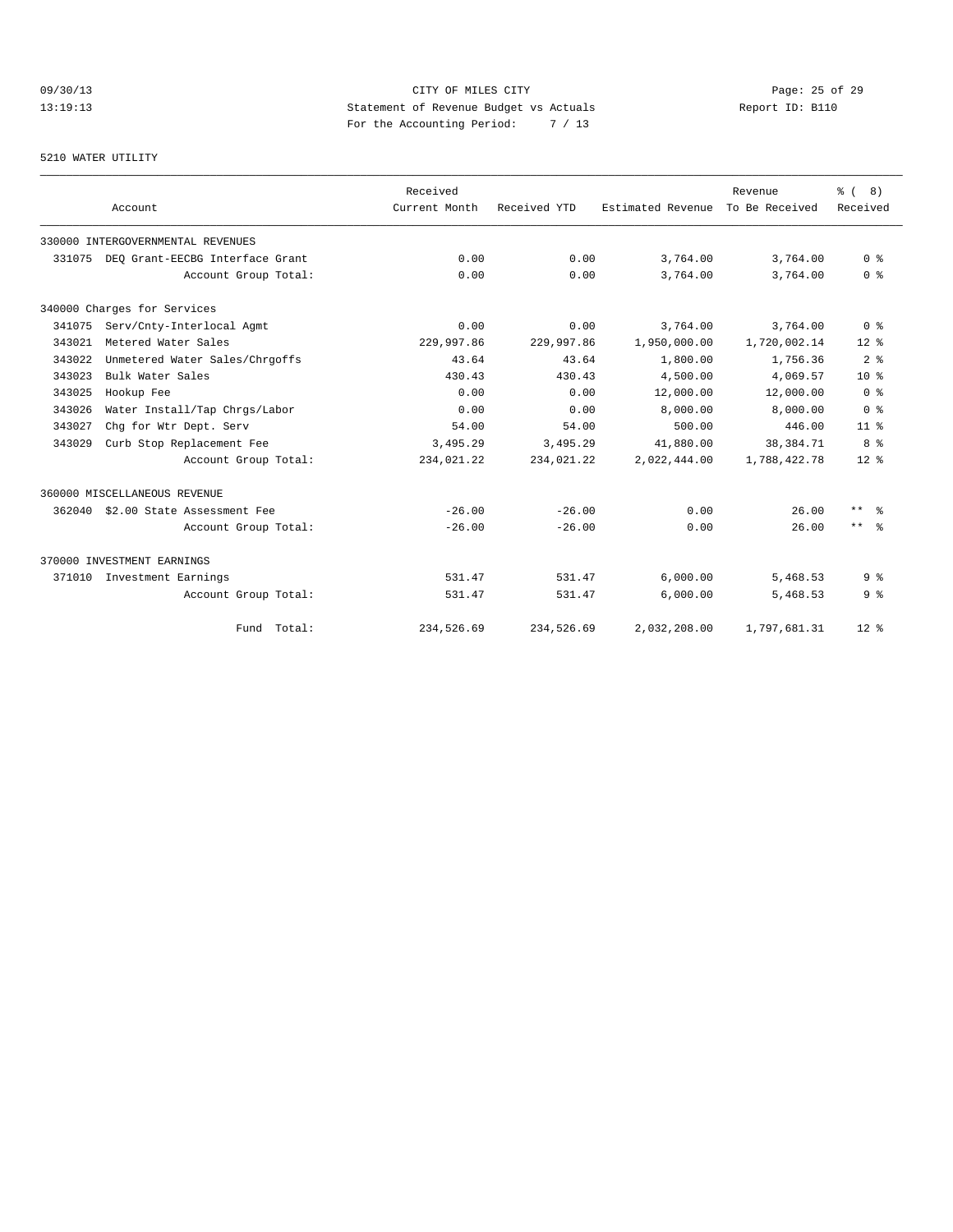# 09/30/13 Page: 25 of 29 13:19:13 Statement of Revenue Budget vs Actuals Report ID: B110<br>Report ID: B110 For the Accounting Period: 7 / 13

#### 5210 WATER UTILITY

|        | Account                           | Received<br>Current Month | Received YTD | Estimated Revenue | Revenue<br>To Be Received | $\frac{6}{6}$ ( 8)<br>Received |
|--------|-----------------------------------|---------------------------|--------------|-------------------|---------------------------|--------------------------------|
|        |                                   |                           |              |                   |                           |                                |
|        | 330000 INTERGOVERNMENTAL REVENUES |                           |              |                   |                           |                                |
| 331075 | DEO Grant-EECBG Interface Grant   | 0.00                      | 0.00         | 3,764.00          | 3,764.00                  | 0 <sup>8</sup>                 |
|        | Account Group Total:              | 0.00                      | 0.00         | 3,764.00          | 3,764.00                  | 0 <sup>8</sup>                 |
|        | 340000 Charges for Services       |                           |              |                   |                           |                                |
| 341075 | Serv/Cnty-Interlocal Agmt         | 0.00                      | 0.00         | 3,764.00          | 3,764.00                  | 0 <sup>8</sup>                 |
| 343021 | Metered Water Sales               | 229,997.86                | 229,997.86   | 1,950,000.00      | 1,720,002.14              | $12*$                          |
| 343022 | Unmetered Water Sales/Chrgoffs    | 43.64                     | 43.64        | 1,800.00          | 1,756.36                  | 2 <sup>8</sup>                 |
| 343023 | Bulk Water Sales                  | 430.43                    | 430.43       | 4,500.00          | 4,069.57                  | 10 <sup>8</sup>                |
| 343025 | Hookup Fee                        | 0.00                      | 0.00         | 12,000.00         | 12,000.00                 | 0 <sup>8</sup>                 |
| 343026 | Water Install/Tap Chrgs/Labor     | 0.00                      | 0.00         | 8,000.00          | 8,000.00                  | 0 <sup>8</sup>                 |
| 343027 | Chq for Wtr Dept. Serv            | 54.00                     | 54.00        | 500.00            | 446.00                    | 11 <sup>8</sup>                |
| 343029 | Curb Stop Replacement Fee         | 3,495.29                  | 3,495.29     | 41,880.00         | 38,384.71                 | 8 %                            |
|        | Account Group Total:              | 234,021.22                | 234,021.22   | 2,022,444.00      | 1,788,422.78              | $12*$                          |
|        | 360000 MISCELLANEOUS REVENUE      |                           |              |                   |                           |                                |
| 362040 | \$2.00 State Assessment Fee       | $-26.00$                  | $-26.00$     | 0.00              | 26.00                     | $***$ $\approx$                |
|        | Account Group Total:              | $-26.00$                  | $-26.00$     | 0.00              | 26.00                     | $***$ $ \frac{6}{6}$           |
|        | 370000 INVESTMENT EARNINGS        |                           |              |                   |                           |                                |
| 371010 | Investment Earnings               | 531.47                    | 531.47       | 6,000.00          | 5,468.53                  | 9 <sub>8</sub>                 |
|        | Account Group Total:              | 531.47                    | 531.47       | 6,000.00          | 5,468.53                  | 9 <sub>8</sub>                 |
|        | Fund Total:                       | 234,526.69                | 234,526.69   | 2,032,208.00      | 1,797,681.31              | $12*$                          |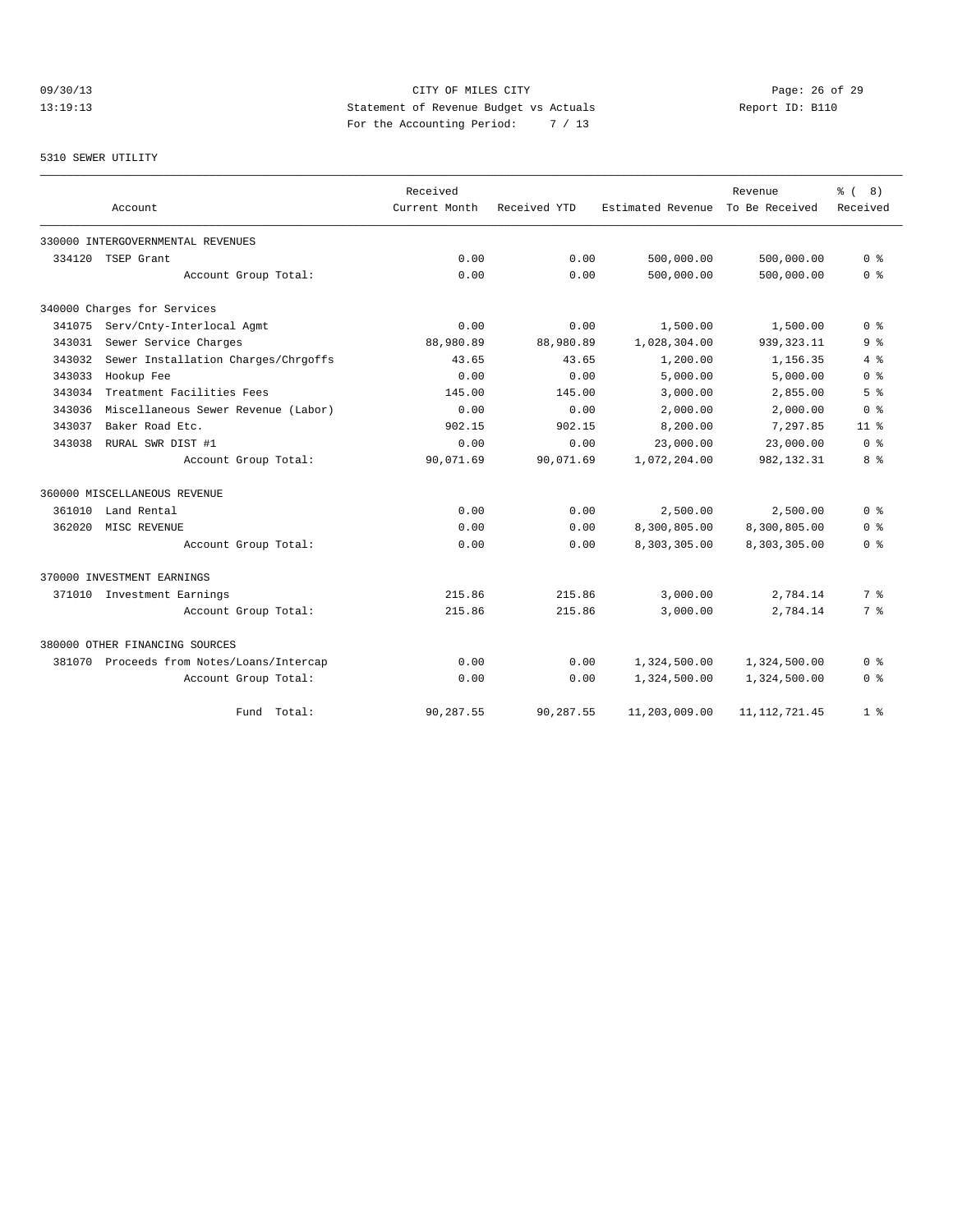# 09/30/13 Page: 26 of 29 13:19:13 Statement of Revenue Budget vs Actuals Report ID: B110 For the Accounting Period: 7 / 13

#### 5310 SEWER UTILITY

|        |                                           | Received      |              |                   | Revenue         | $\approx$ (<br>8) |
|--------|-------------------------------------------|---------------|--------------|-------------------|-----------------|-------------------|
|        | Account                                   | Current Month | Received YTD | Estimated Revenue | To Be Received  | Received          |
|        | 330000 INTERGOVERNMENTAL REVENUES         |               |              |                   |                 |                   |
| 334120 | TSEP Grant                                | 0.00          | 0.00         | 500,000.00        | 500,000.00      | 0 <sup>8</sup>    |
|        | Account Group Total:                      | 0.00          | 0.00         | 500,000.00        | 500,000.00      | 0 <sup>8</sup>    |
|        | 340000 Charges for Services               |               |              |                   |                 |                   |
| 341075 | Serv/Cnty-Interlocal Agmt                 | 0.00          | 0.00         | 1,500.00          | 1,500.00        | 0 <sup>8</sup>    |
| 343031 | Sewer Service Charges                     | 88,980.89     | 88,980.89    | 1,028,304.00      | 939, 323.11     | 9 <sup>8</sup>    |
| 343032 | Sewer Installation Charges/Chrgoffs       | 43.65         | 43.65        | 1,200.00          | 1,156.35        | 4%                |
| 343033 | Hookup Fee                                | 0.00          | 0.00         | 5,000.00          | 5,000.00        | 0 <sup>8</sup>    |
| 343034 | Treatment Facilities Fees                 | 145.00        | 145.00       | 3,000.00          | 2,855.00        | 5 <sup>8</sup>    |
| 343036 | Miscellaneous Sewer Revenue (Labor)       | 0.00          | 0.00         | 2,000.00          | 2,000.00        | 0 <sup>8</sup>    |
| 343037 | Baker Road Etc.                           | 902.15        | 902.15       | 8,200.00          | 7,297.85        | 11 <sup>8</sup>   |
| 343038 | RURAL SWR DIST #1                         | 0.00          | 0.00         | 23,000.00         | 23,000.00       | 0 <sup>8</sup>    |
|        | Account Group Total:                      | 90,071.69     | 90,071.69    | 1,072,204.00      | 982,132.31      | 8%                |
|        | 360000 MISCELLANEOUS REVENUE              |               |              |                   |                 |                   |
| 361010 | Land Rental                               | 0.00          | 0.00         | 2,500.00          | 2,500.00        | 0 <sup>8</sup>    |
| 362020 | MISC REVENUE                              | 0.00          | 0.00         | 8,300,805.00      | 8,300,805.00    | 0 %               |
|        | Account Group Total:                      | 0.00          | 0.00         | 8,303,305.00      | 8,303,305.00    | 0 <sup>8</sup>    |
|        | 370000 INVESTMENT EARNINGS                |               |              |                   |                 |                   |
|        | 371010 Investment Earnings                | 215.86        | 215.86       | 3,000.00          | 2,784.14        | 7%                |
|        | Account Group Total:                      | 215.86        | 215.86       | 3,000.00          | 2,784.14        | 7 %               |
|        | 380000 OTHER FINANCING SOURCES            |               |              |                   |                 |                   |
|        | 381070 Proceeds from Notes/Loans/Intercap | 0.00          | 0.00         | 1,324,500.00      | 1,324,500.00    | 0 %               |
|        | Account Group Total:                      | 0.00          | 0.00         | 1,324,500.00      | 1,324,500.00    | 0 <sup>8</sup>    |
|        | Total:<br>Fund                            | 90,287.55     | 90,287.55    | 11,203,009.00     | 11, 112, 721.45 | 1 <sup>8</sup>    |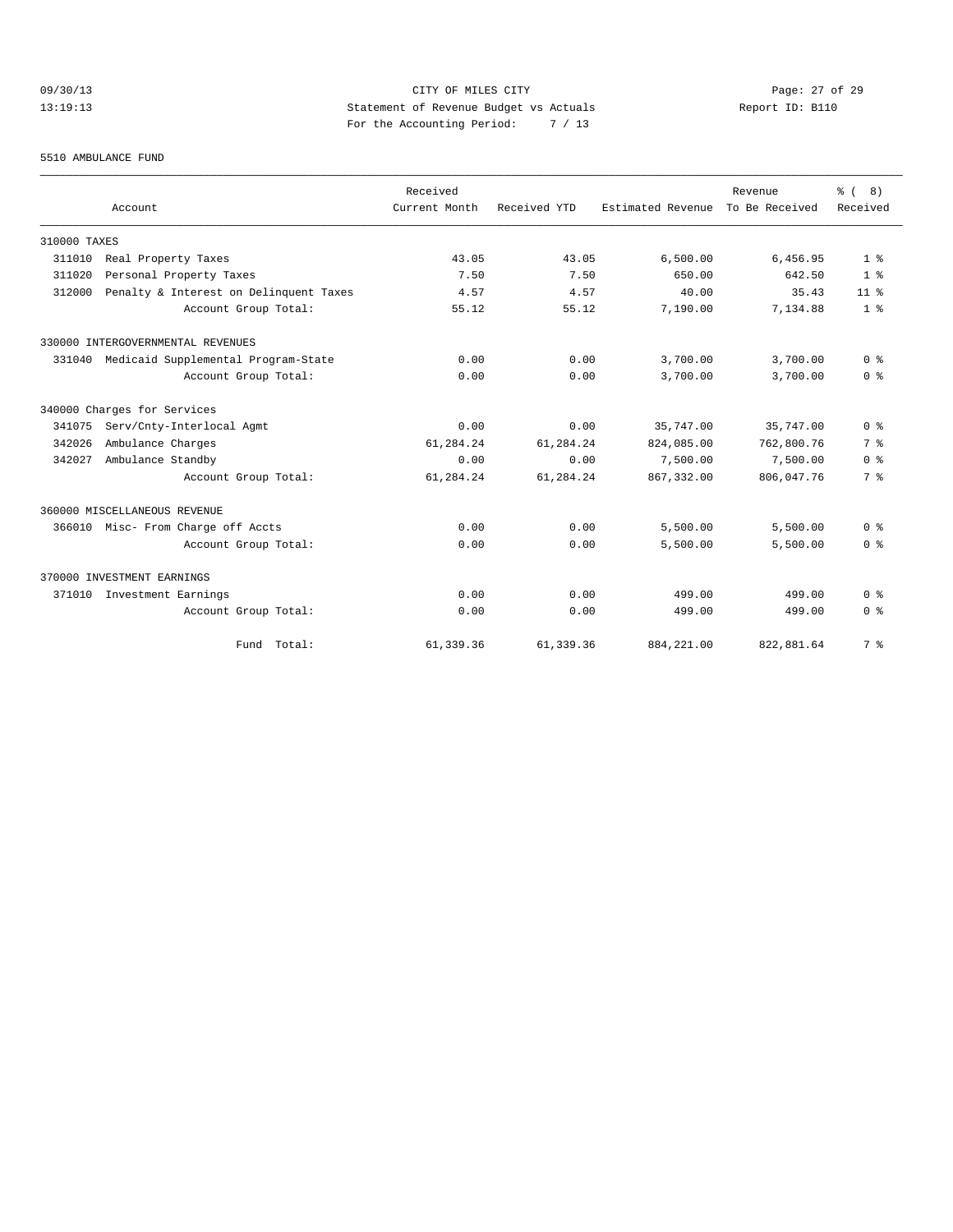# 09/30/13 Page: 27 of 29 13:19:13 Statement of Revenue Budget vs Actuals Report ID: B110 For the Accounting Period: 7 / 13

#### 5510 AMBULANCE FUND

|              |                                        | Received      |              |                   | Revenue        | $\frac{6}{6}$ ( 8)                 |
|--------------|----------------------------------------|---------------|--------------|-------------------|----------------|------------------------------------|
|              | Account                                | Current Month | Received YTD | Estimated Revenue | To Be Received | Received                           |
| 310000 TAXES |                                        |               |              |                   |                |                                    |
| 311010       | Real Property Taxes                    | 43.05         | 43.05        | 6,500.00          | 6,456.95       | 1 <sup>8</sup>                     |
| 311020       | Personal Property Taxes                | 7.50          | 7.50         | 650.00            | 642.50         | 1 <sup>8</sup>                     |
| 312000       | Penalty & Interest on Delinquent Taxes | 4.57          | 4.57         | 40.00             | 35.43          | 11 <sup>8</sup>                    |
|              | Account Group Total:                   | 55.12         | 55.12        | 7,190.00          | 7,134.88       | 1 <sup>8</sup>                     |
|              | 330000 INTERGOVERNMENTAL REVENUES      |               |              |                   |                |                                    |
| 331040       | Medicaid Supplemental Program-State    | 0.00          | 0.00         | 3,700.00          | 3,700.00       | 0 <sup>8</sup>                     |
|              | Account Group Total:                   | 0.00          | 0.00         | 3,700.00          | 3,700.00       | 0 <sup>8</sup>                     |
|              | 340000 Charges for Services            |               |              |                   |                |                                    |
| 341075       | Serv/Cnty-Interlocal Agmt              | 0.00          | 0.00         | 35,747.00         | 35,747.00      | 0 <sup>8</sup>                     |
| 342026       | Ambulance Charges                      | 61,284.24     | 61,284.24    | 824,085.00        | 762,800.76     | 7 <sup>°</sup>                     |
| 342027       | Ambulance Standby                      | 0.00          | 0.00         | 7,500.00          | 7,500.00       | 0 <sup>8</sup>                     |
|              | Account Group Total:                   | 61,284.24     | 61,284.24    | 867, 332.00       | 806,047.76     | 7 <sup>°</sup>                     |
|              | 360000 MISCELLANEOUS REVENUE           |               |              |                   |                |                                    |
| 366010       | Misc- From Charge off Accts            | 0.00          | 0.00         | 5,500.00          | 5,500.00       | 0 <sup>8</sup>                     |
|              | Account Group Total:                   | 0.00          | 0.00         | 5,500.00          | 5,500.00       | 0 <sup>8</sup>                     |
|              | 370000 INVESTMENT EARNINGS             |               |              |                   |                |                                    |
| 371010       | Investment Earnings                    | 0.00          | 0.00         | 499.00            | 499.00         | $0 \text{ }$ $\text{ }$ $\text{ }$ |
|              | Account Group Total:                   | 0.00          | 0.00         | 499.00            | 499.00         | 0 <sup>8</sup>                     |
|              | Fund Total:                            | 61,339.36     | 61, 339.36   | 884, 221.00       | 822,881.64     | 7 <sup>8</sup>                     |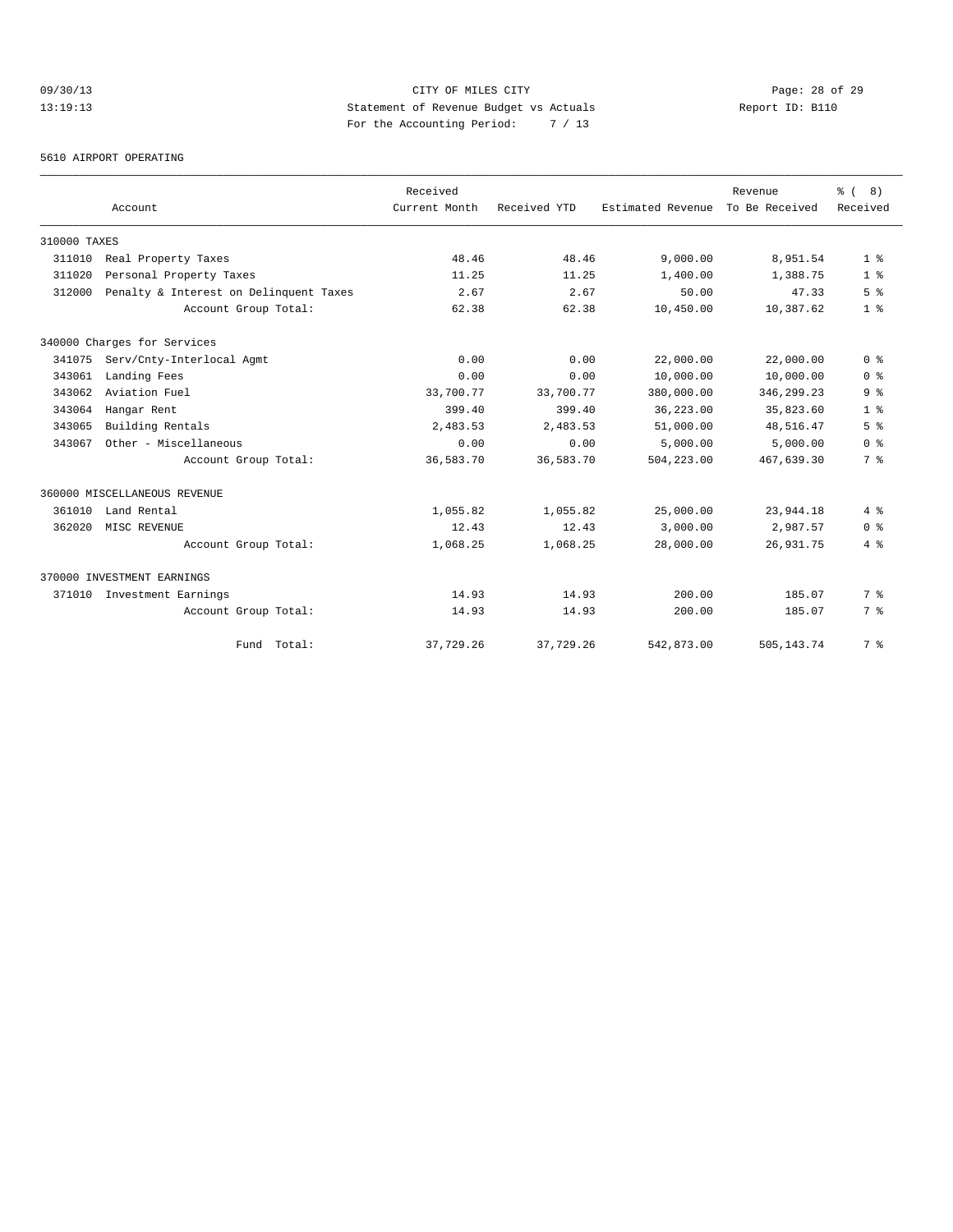# 09/30/13 Page: 28 of 29 13:19:13 Statement of Revenue Budget vs Actuals Report ID: B110 For the Accounting Period: 7 / 13

5610 AIRPORT OPERATING

|              |                                        | Received      |              |                   | Revenue        | $\frac{6}{6}$ ( 8) |
|--------------|----------------------------------------|---------------|--------------|-------------------|----------------|--------------------|
|              | Account                                | Current Month | Received YTD | Estimated Revenue | To Be Received | Received           |
| 310000 TAXES |                                        |               |              |                   |                |                    |
| 311010       | Real Property Taxes                    | 48.46         | 48.46        | 9.000.00          | 8,951.54       | 1 <sup>8</sup>     |
| 311020       | Personal Property Taxes                | 11.25         | 11.25        | 1,400.00          | 1,388.75       | 1 <sup>8</sup>     |
| 312000       | Penalty & Interest on Delinquent Taxes | 2.67          | 2.67         | 50.00             | 47.33          | 5 <sup>8</sup>     |
|              | Account Group Total:                   | 62.38         | 62.38        | 10,450.00         | 10,387.62      | 1 <sup>8</sup>     |
|              | 340000 Charges for Services            |               |              |                   |                |                    |
| 341075       | Serv/Cnty-Interlocal Agmt              | 0.00          | 0.00         | 22,000.00         | 22,000.00      | 0 <sup>8</sup>     |
| 343061       | Landing Fees                           | 0.00          | 0.00         | 10,000.00         | 10,000.00      | 0 <sup>8</sup>     |
| 343062       | Aviation Fuel                          | 33,700.77     | 33,700.77    | 380,000.00        | 346, 299. 23   | 9 <sub>8</sub>     |
| 343064       | Hangar Rent                            | 399.40        | 399.40       | 36,223.00         | 35,823.60      | 1 <sup>8</sup>     |
| 343065       | Building Rentals                       | 2,483.53      | 2,483.53     | 51,000.00         | 48,516.47      | 5 <sup>8</sup>     |
| 343067       | Other - Miscellaneous                  | 0.00          | 0.00         | 5,000.00          | 5,000.00       | 0 <sup>8</sup>     |
|              | Account Group Total:                   | 36,583.70     | 36,583.70    | 504,223.00        | 467,639.30     | 7 <sup>8</sup>     |
|              | 360000 MISCELLANEOUS REVENUE           |               |              |                   |                |                    |
| 361010       | Land Rental                            | 1,055.82      | 1,055.82     | 25,000.00         | 23,944.18      | 4%                 |
| 362020       | MISC REVENUE                           | 12.43         | 12.43        | 3,000.00          | 2,987.57       | 0 <sup>8</sup>     |
|              | Account Group Total:                   | 1,068.25      | 1,068.25     | 28,000.00         | 26,931.75      | 4%                 |
|              | 370000 INVESTMENT EARNINGS             |               |              |                   |                |                    |
| 371010       | Investment Earnings                    | 14.93         | 14.93        | 200.00            | 185.07         | 7 %                |
|              | Account Group Total:                   | 14.93         | 14.93        | 200.00            | 185.07         | 7 %                |
|              | Fund Total:                            | 37,729.26     | 37,729.26    | 542,873.00        | 505, 143. 74   | 7 <sup>°</sup>     |